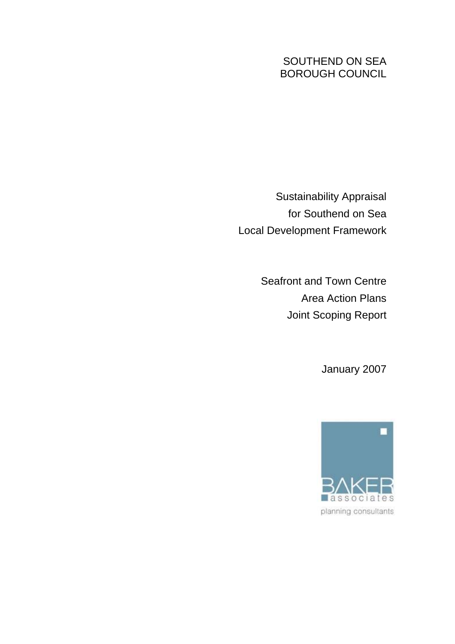# SOUTHEND ON SEA BOROUGH COUNCIL

Sustainability Appraisal for Southend on Sea Local Development Framework

> Seafront and Town Centre Area Action Plans Joint Scoping Report

> > January 2007

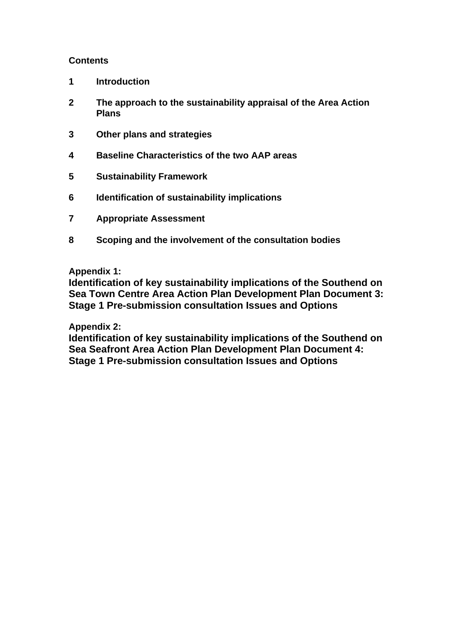# **Contents**

- **1 Introduction**
- **2 The approach to the sustainability appraisal of the Area Action Plans**
- **3 Other plans and strategies**
- **4 Baseline Characteristics of the two AAP areas**
- **5 Sustainability Framework**
- **6 Identification of sustainability implications**
- **7 Appropriate Assessment**
- **8 Scoping and the involvement of the consultation bodies**

# **Appendix 1:**

**Identification of key sustainability implications of the Southend on Sea Town Centre Area Action Plan Development Plan Document 3: Stage 1 Pre-submission consultation Issues and Options** 

# **Appendix 2:**

**Identification of key sustainability implications of the Southend on Sea Seafront Area Action Plan Development Plan Document 4: Stage 1 Pre-submission consultation Issues and Options**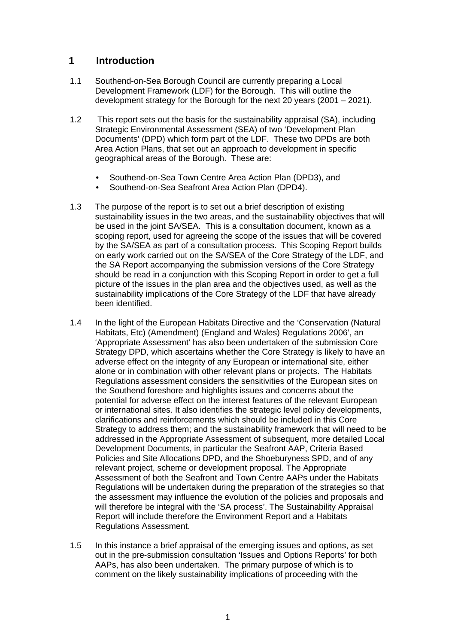# **1 Introduction**

- 1.1 Southend-on-Sea Borough Council are currently preparing a Local Development Framework (LDF) for the Borough. This will outline the development strategy for the Borough for the next 20 years (2001 – 2021).
- 1.2 This report sets out the basis for the sustainability appraisal (SA), including Strategic Environmental Assessment (SEA) of two 'Development Plan Documents' (DPD) which form part of the LDF. These two DPDs are both Area Action Plans, that set out an approach to development in specific geographical areas of the Borough. These are:
	- Southend-on-Sea Town Centre Area Action Plan (DPD3), and
	- Southend-on-Sea Seafront Area Action Plan (DPD4).
- 1.3 The purpose of the report is to set out a brief description of existing sustainability issues in the two areas, and the sustainability objectives that will be used in the joint SA/SEA. This is a consultation document, known as a scoping report, used for agreeing the scope of the issues that will be covered by the SA/SEA as part of a consultation process. This Scoping Report builds on early work carried out on the SA/SEA of the Core Strategy of the LDF, and the SA Report accompanying the submission versions of the Core Strategy should be read in a conjunction with this Scoping Report in order to get a full picture of the issues in the plan area and the objectives used, as well as the sustainability implications of the Core Strategy of the LDF that have already been identified.
- 1.4 In the light of the European Habitats Directive and the 'Conservation (Natural Habitats, Etc) (Amendment) (England and Wales) Regulations 2006', an 'Appropriate Assessment' has also been undertaken of the submission Core Strategy DPD, which ascertains whether the Core Strategy is likely to have an adverse effect on the integrity of any European or international site, either alone or in combination with other relevant plans or projects. The Habitats Regulations assessment considers the sensitivities of the European sites on the Southend foreshore and highlights issues and concerns about the potential for adverse effect on the interest features of the relevant European or international sites. It also identifies the strategic level policy developments, clarifications and reinforcements which should be included in this Core Strategy to address them; and the sustainability framework that will need to be addressed in the Appropriate Assessment of subsequent, more detailed Local Development Documents, in particular the Seafront AAP, Criteria Based Policies and Site Allocations DPD, and the Shoeburyness SPD, and of any relevant project, scheme or development proposal. The Appropriate Assessment of both the Seafront and Town Centre AAPs under the Habitats Regulations will be undertaken during the preparation of the strategies so that the assessment may influence the evolution of the policies and proposals and will therefore be integral with the 'SA process'. The Sustainability Appraisal Report will include therefore the Environment Report and a Habitats Regulations Assessment.
- 1.5 In this instance a brief appraisal of the emerging issues and options, as set out in the pre-submission consultation 'Issues and Options Reports' for both AAPs, has also been undertaken. The primary purpose of which is to comment on the likely sustainability implications of proceeding with the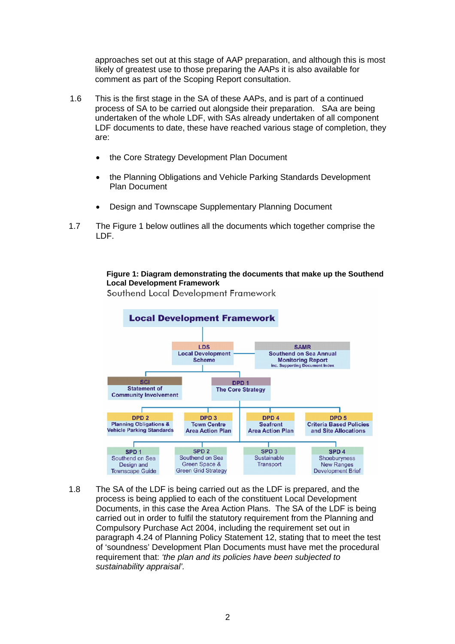approaches set out at this stage of AAP preparation, and although this is most likely of greatest use to those preparing the AAPs it is also available for comment as part of the Scoping Report consultation.

- 1.6 This is the first stage in the SA of these AAPs, and is part of a continued process of SA to be carried out alongside their preparation. SAa are being undertaken of the whole LDF, with SAs already undertaken of all component LDF documents to date, these have reached various stage of completion, they are:
	- the Core Strategy Development Plan Document
	- the Planning Obligations and Vehicle Parking Standards Development Plan Document
	- Design and Townscape Supplementary Planning Document
- 1.7 The Figure 1 below outlines all the documents which together comprise the LDF.

#### **Figure 1: Diagram demonstrating the documents that make up the Southend Local Development Framework**

Southend Local Development Framework



1.8 The SA of the LDF is being carried out as the LDF is prepared, and the process is being applied to each of the constituent Local Development Documents, in this case the Area Action Plans. The SA of the LDF is being carried out in order to fulfil the statutory requirement from the Planning and Compulsory Purchase Act 2004, including the requirement set out in paragraph 4.24 of Planning Policy Statement 12, stating that to meet the test of 'soundness' Development Plan Documents must have met the procedural requirement that: *'the plan and its policies have been subjected to sustainability appraisal'.*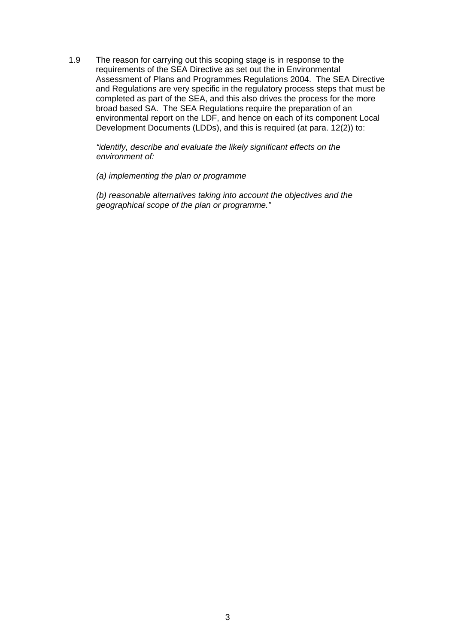1.9 The reason for carrying out this scoping stage is in response to the requirements of the SEA Directive as set out the in Environmental Assessment of Plans and Programmes Regulations 2004. The SEA Directive and Regulations are very specific in the regulatory process steps that must be completed as part of the SEA, and this also drives the process for the more broad based SA. The SEA Regulations require the preparation of an environmental report on the LDF, and hence on each of its component Local Development Documents (LDDs), and this is required (at para. 12(2)) to:

*"identify, describe and evaluate the likely significant effects on the environment of:* 

*(a) implementing the plan or programme* 

*(b) reasonable alternatives taking into account the objectives and the geographical scope of the plan or programme."*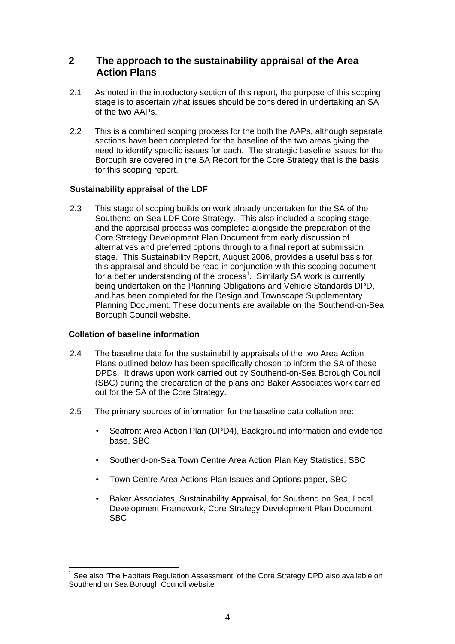# **2 The approach to the sustainability appraisal of the Area Action Plans**

- 2.1 As noted in the introductory section of this report, the purpose of this scoping stage is to ascertain what issues should be considered in undertaking an SA of the two AAPs.
- 2.2 This is a combined scoping process for the both the AAPs, although separate sections have been completed for the baseline of the two areas giving the need to identify specific issues for each. The strategic baseline issues for the Borough are covered in the SA Report for the Core Strategy that is the basis for this scoping report.

## **Sustainability appraisal of the LDF**

2.3 This stage of scoping builds on work already undertaken for the SA of the Southend-on-Sea LDF Core Strategy. This also included a scoping stage, and the appraisal process was completed alongside the preparation of the Core Strategy Development Plan Document from early discussion of alternatives and preferred options through to a final report at submission stage. This Sustainability Report, August 2006, provides a useful basis for this appraisal and should be read in conjunction with this scoping document for a better understanding of the process<sup>1</sup>. Similarly SA work is currently being undertaken on the Planning Obligations and Vehicle Standards DPD, and has been completed for the Design and Townscape Supplementary Planning Document. These documents are available on the Southend-on-Sea Borough Council website.

## **Collation of baseline information**

- 2.4 The baseline data for the sustainability appraisals of the two Area Action Plans outlined below has been specifically chosen to inform the SA of these DPDs. It draws upon work carried out by Southend-on-Sea Borough Council (SBC) during the preparation of the plans and Baker Associates work carried out for the SA of the Core Strategy.
- 2.5 The primary sources of information for the baseline data collation are:
	- Seafront Area Action Plan (DPD4), Background information and evidence base, SBC
	- Southend-on-Sea Town Centre Area Action Plan Key Statistics, SBC
	- Town Centre Area Actions Plan Issues and Options paper, SBC
	- Baker Associates, Sustainability Appraisal, for Southend on Sea, Local Development Framework, Core Strategy Development Plan Document, SBC

  $1$  See also 'The Habitats Regulation Assessment' of the Core Strategy DPD also available on Southend on Sea Borough Council website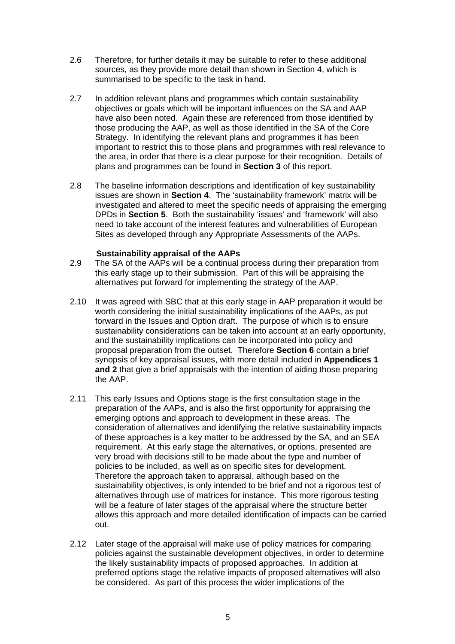- 2.6 Therefore, for further details it may be suitable to refer to these additional sources, as they provide more detail than shown in Section 4, which is summarised to be specific to the task in hand.
- 2.7 In addition relevant plans and programmes which contain sustainability objectives or goals which will be important influences on the SA and AAP have also been noted. Again these are referenced from those identified by those producing the AAP, as well as those identified in the SA of the Core Strategy. In identifying the relevant plans and programmes it has been important to restrict this to those plans and programmes with real relevance to the area, in order that there is a clear purpose for their recognition. Details of plans and programmes can be found in **Section 3** of this report.
- 2.8 The baseline information descriptions and identification of key sustainability issues are shown in **Section 4**. The 'sustainability framework' matrix will be investigated and altered to meet the specific needs of appraising the emerging DPDs in **Section 5**. Both the sustainability 'issues' and 'framework' will also need to take account of the interest features and vulnerabilities of European Sites as developed through any Appropriate Assessments of the AAPs.

#### **Sustainability appraisal of the AAPs**

- 2.9 The SA of the AAPs will be a continual process during their preparation from this early stage up to their submission. Part of this will be appraising the alternatives put forward for implementing the strategy of the AAP.
- 2.10 It was agreed with SBC that at this early stage in AAP preparation it would be worth considering the initial sustainability implications of the AAPs, as put forward in the Issues and Option draft. The purpose of which is to ensure sustainability considerations can be taken into account at an early opportunity, and the sustainability implications can be incorporated into policy and proposal preparation from the outset. Therefore **Section 6** contain a brief synopsis of key appraisal issues, with more detail included in **Appendices 1 and 2** that give a brief appraisals with the intention of aiding those preparing the AAP.
- 2.11 This early Issues and Options stage is the first consultation stage in the preparation of the AAPs, and is also the first opportunity for appraising the emerging options and approach to development in these areas. The consideration of alternatives and identifying the relative sustainability impacts of these approaches is a key matter to be addressed by the SA, and an SEA requirement. At this early stage the alternatives, or options, presented are very broad with decisions still to be made about the type and number of policies to be included, as well as on specific sites for development. Therefore the approach taken to appraisal, although based on the sustainability objectives, is only intended to be brief and not a rigorous test of alternatives through use of matrices for instance. This more rigorous testing will be a feature of later stages of the appraisal where the structure better allows this approach and more detailed identification of impacts can be carried out.
- 2.12 Later stage of the appraisal will make use of policy matrices for comparing policies against the sustainable development objectives, in order to determine the likely sustainability impacts of proposed approaches. In addition at preferred options stage the relative impacts of proposed alternatives will also be considered. As part of this process the wider implications of the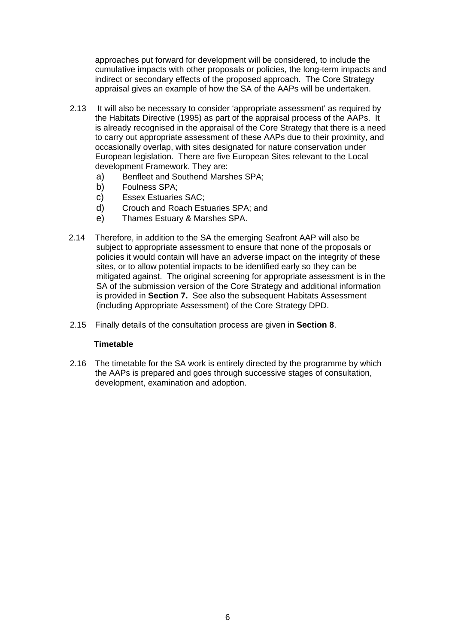approaches put forward for development will be considered, to include the cumulative impacts with other proposals or policies, the long-term impacts and indirect or secondary effects of the proposed approach. The Core Strategy appraisal gives an example of how the SA of the AAPs will be undertaken.

- 2.13 It will also be necessary to consider 'appropriate assessment' as required by the Habitats Directive (1995) as part of the appraisal process of the AAPs. It is already recognised in the appraisal of the Core Strategy that there is a need to carry out appropriate assessment of these AAPs due to their proximity, and occasionally overlap, with sites designated for nature conservation under European legislation. There are five European Sites relevant to the Local development Framework. They are:
	- a) Benfleet and Southend Marshes SPA;
	- b) Foulness SPA;
	- c) Essex Estuaries SAC;
	- d) Crouch and Roach Estuaries SPA; and
	- e) Thames Estuary & Marshes SPA.
- 2.14 Therefore, in addition to the SA the emerging Seafront AAP will also be subject to appropriate assessment to ensure that none of the proposals or policies it would contain will have an adverse impact on the integrity of these sites, or to allow potential impacts to be identified early so they can be mitigated against. The original screening for appropriate assessment is in the SA of the submission version of the Core Strategy and additional information is provided in **Section 7.** See also the subsequent Habitats Assessment (including Appropriate Assessment) of the Core Strategy DPD.
- 2.15 Finally details of the consultation process are given in **Section 8**.

## **Timetable**

2.16 The timetable for the SA work is entirely directed by the programme by which the AAPs is prepared and goes through successive stages of consultation, development, examination and adoption.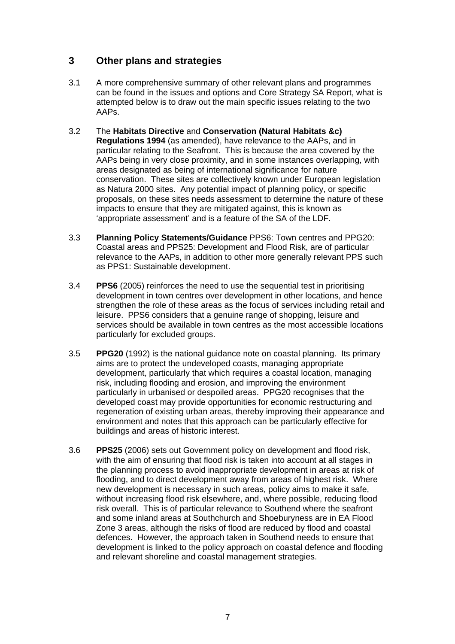# **3 Other plans and strategies**

- 3.1 A more comprehensive summary of other relevant plans and programmes can be found in the issues and options and Core Strategy SA Report, what is attempted below is to draw out the main specific issues relating to the two AAPs.
- 3.2 The **Habitats Directive** and **Conservation (Natural Habitats &c) Regulations 1994** (as amended), have relevance to the AAPs, and in particular relating to the Seafront. This is because the area covered by the AAPs being in very close proximity, and in some instances overlapping, with areas designated as being of international significance for nature conservation. These sites are collectively known under European legislation as Natura 2000 sites. Any potential impact of planning policy, or specific proposals, on these sites needs assessment to determine the nature of these impacts to ensure that they are mitigated against, this is known as 'appropriate assessment' and is a feature of the SA of the LDF.
- 3.3 **Planning Policy Statements/Guidance** PPS6: Town centres and PPG20: Coastal areas and PPS25: Development and Flood Risk, are of particular relevance to the AAPs, in addition to other more generally relevant PPS such as PPS1: Sustainable development.
- 3.4 **PPS6** (2005) reinforces the need to use the sequential test in prioritising development in town centres over development in other locations, and hence strengthen the role of these areas as the focus of services including retail and leisure. PPS6 considers that a genuine range of shopping, leisure and services should be available in town centres as the most accessible locations particularly for excluded groups.
- 3.5 **PPG20** (1992) is the national guidance note on coastal planning. Its primary aims are to protect the undeveloped coasts, managing appropriate development, particularly that which requires a coastal location, managing risk, including flooding and erosion, and improving the environment particularly in urbanised or despoiled areas. PPG20 recognises that the developed coast may provide opportunities for economic restructuring and regeneration of existing urban areas, thereby improving their appearance and environment and notes that this approach can be particularly effective for buildings and areas of historic interest.
- 3.6 **PPS25** (2006) sets out Government policy on development and flood risk, with the aim of ensuring that flood risk is taken into account at all stages in the planning process to avoid inappropriate development in areas at risk of flooding, and to direct development away from areas of highest risk. Where new development is necessary in such areas, policy aims to make it safe, without increasing flood risk elsewhere, and, where possible, reducing flood risk overall. This is of particular relevance to Southend where the seafront and some inland areas at Southchurch and Shoeburyness are in EA Flood Zone 3 areas, although the risks of flood are reduced by flood and coastal defences. However, the approach taken in Southend needs to ensure that development is linked to the policy approach on coastal defence and flooding and relevant shoreline and coastal management strategies.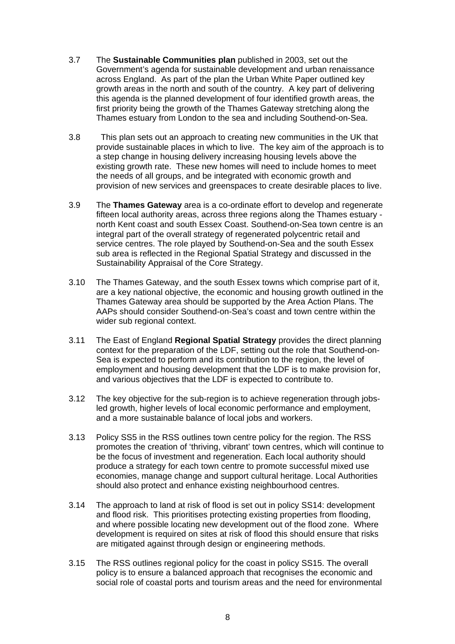- 3.7 The **Sustainable Communities plan** published in 2003, set out the Government's agenda for sustainable development and urban renaissance across England. As part of the plan the Urban White Paper outlined key growth areas in the north and south of the country. A key part of delivering this agenda is the planned development of four identified growth areas, the first priority being the growth of the Thames Gateway stretching along the Thames estuary from London to the sea and including Southend-on-Sea.
- 3.8 This plan sets out an approach to creating new communities in the UK that provide sustainable places in which to live. The key aim of the approach is to a step change in housing delivery increasing housing levels above the existing growth rate. These new homes will need to include homes to meet the needs of all groups, and be integrated with economic growth and provision of new services and greenspaces to create desirable places to live.
- 3.9 The **Thames Gateway** area is a co-ordinate effort to develop and regenerate fifteen local authority areas, across three regions along the Thames estuary north Kent coast and south Essex Coast. Southend-on-Sea town centre is an integral part of the overall strategy of regenerated polycentric retail and service centres. The role played by Southend-on-Sea and the south Essex sub area is reflected in the Regional Spatial Strategy and discussed in the Sustainability Appraisal of the Core Strategy.
- 3.10 The Thames Gateway, and the south Essex towns which comprise part of it, are a key national objective, the economic and housing growth outlined in the Thames Gateway area should be supported by the Area Action Plans. The AAPs should consider Southend-on-Sea's coast and town centre within the wider sub regional context.
- 3.11 The East of England **Regional Spatial Strategy** provides the direct planning context for the preparation of the LDF, setting out the role that Southend-on-Sea is expected to perform and its contribution to the region, the level of employment and housing development that the LDF is to make provision for, and various objectives that the LDF is expected to contribute to.
- 3.12 The key objective for the sub-region is to achieve regeneration through jobsled growth, higher levels of local economic performance and employment, and a more sustainable balance of local jobs and workers.
- 3.13 Policy SS5 in the RSS outlines town centre policy for the region. The RSS promotes the creation of 'thriving, vibrant' town centres, which will continue to be the focus of investment and regeneration. Each local authority should produce a strategy for each town centre to promote successful mixed use economies, manage change and support cultural heritage. Local Authorities should also protect and enhance existing neighbourhood centres.
- 3.14 The approach to land at risk of flood is set out in policy SS14: development and flood risk. This prioritises protecting existing properties from flooding, and where possible locating new development out of the flood zone. Where development is required on sites at risk of flood this should ensure that risks are mitigated against through design or engineering methods.
- 3.15 The RSS outlines regional policy for the coast in policy SS15. The overall policy is to ensure a balanced approach that recognises the economic and social role of coastal ports and tourism areas and the need for environmental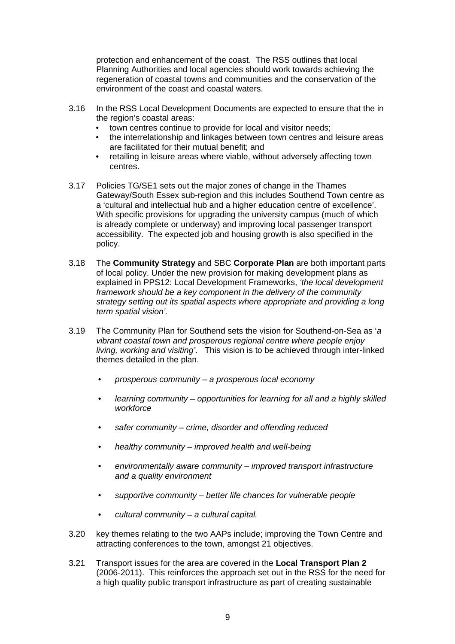protection and enhancement of the coast. The RSS outlines that local Planning Authorities and local agencies should work towards achieving the regeneration of coastal towns and communities and the conservation of the environment of the coast and coastal waters.

- 3.16 In the RSS Local Development Documents are expected to ensure that the in the region's coastal areas:
	- town centres continue to provide for local and visitor needs;
	- the interrelationship and linkages between town centres and leisure areas are facilitated for their mutual benefit; and
	- retailing in leisure areas where viable, without adversely affecting town centres.
- 3.17 Policies TG/SE1 sets out the major zones of change in the Thames Gateway/South Essex sub-region and this includes Southend Town centre as a 'cultural and intellectual hub and a higher education centre of excellence'. With specific provisions for upgrading the university campus (much of which is already complete or underway) and improving local passenger transport accessibility. The expected job and housing growth is also specified in the policy.
- 3.18 The **Community Strategy** and SBC **Corporate Plan** are both important parts of local policy. Under the new provision for making development plans as explained in PPS12: Local Development Frameworks, *'the local development framework should be a key component in the delivery of the community strategy setting out its spatial aspects where appropriate and providing a long term spatial vision'.*
- 3.19 The Community Plan for Southend sets the vision for Southend-on-Sea as '*a vibrant coastal town and prosperous regional centre where people enjoy living, working and visiting'*. This vision is to be achieved through inter-linked themes detailed in the plan.
	- *prosperous community a prosperous local economy*
	- *learning community opportunities for learning for all and a highly skilled workforce*
	- *safer community crime, disorder and offending reduced*
	- *healthy community improved health and well-being*
	- *environmentally aware community improved transport infrastructure and a quality environment*
	- *supportive community better life chances for vulnerable people*
	- *cultural community a cultural capital.*
- 3.20 key themes relating to the two AAPs include; improving the Town Centre and attracting conferences to the town, amongst 21 objectives.
- 3.21 Transport issues for the area are covered in the **Local Transport Plan 2**  (2006-2011). This reinforces the approach set out in the RSS for the need for a high quality public transport infrastructure as part of creating sustainable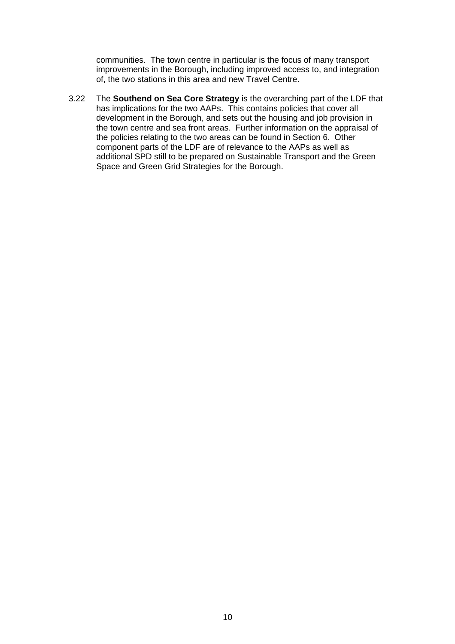communities. The town centre in particular is the focus of many transport improvements in the Borough, including improved access to, and integration of, the two stations in this area and new Travel Centre.

3.22 The **Southend on Sea Core Strategy** is the overarching part of the LDF that has implications for the two AAPs. This contains policies that cover all development in the Borough, and sets out the housing and job provision in the town centre and sea front areas. Further information on the appraisal of the policies relating to the two areas can be found in Section 6. Other component parts of the LDF are of relevance to the AAPs as well as additional SPD still to be prepared on Sustainable Transport and the Green Space and Green Grid Strategies for the Borough.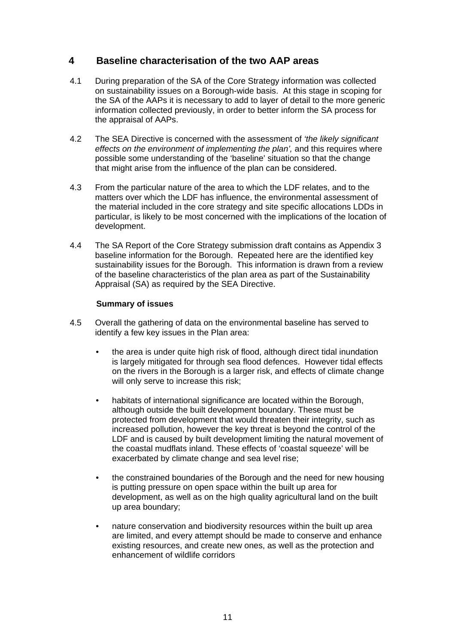# **4 Baseline characterisation of the two AAP areas**

- 4.1 During preparation of the SA of the Core Strategy information was collected on sustainability issues on a Borough-wide basis. At this stage in scoping for the SA of the AAPs it is necessary to add to layer of detail to the more generic information collected previously, in order to better inform the SA process for the appraisal of AAPs.
- 4.2 The SEA Directive is concerned with the assessment of *'the likely significant effects on the environment of implementing the plan',* and this requires where possible some understanding of the 'baseline' situation so that the change that might arise from the influence of the plan can be considered.
- 4.3 From the particular nature of the area to which the LDF relates, and to the matters over which the LDF has influence, the environmental assessment of the material included in the core strategy and site specific allocations LDDs in particular, is likely to be most concerned with the implications of the location of development.
- 4.4 The SA Report of the Core Strategy submission draft contains as Appendix 3 baseline information for the Borough. Repeated here are the identified key sustainability issues for the Borough. This information is drawn from a review of the baseline characteristics of the plan area as part of the Sustainability Appraisal (SA) as required by the SEA Directive.

## **Summary of issues**

- 4.5 Overall the gathering of data on the environmental baseline has served to identify a few key issues in the Plan area:
	- the area is under quite high risk of flood, although direct tidal inundation is largely mitigated for through sea flood defences. However tidal effects on the rivers in the Borough is a larger risk, and effects of climate change will only serve to increase this risk;
	- habitats of international significance are located within the Borough, although outside the built development boundary. These must be protected from development that would threaten their integrity, such as increased pollution, however the key threat is beyond the control of the LDF and is caused by built development limiting the natural movement of the coastal mudflats inland. These effects of 'coastal squeeze' will be exacerbated by climate change and sea level rise;
	- the constrained boundaries of the Borough and the need for new housing is putting pressure on open space within the built up area for development, as well as on the high quality agricultural land on the built up area boundary;
	- nature conservation and biodiversity resources within the built up area are limited, and every attempt should be made to conserve and enhance existing resources, and create new ones, as well as the protection and enhancement of wildlife corridors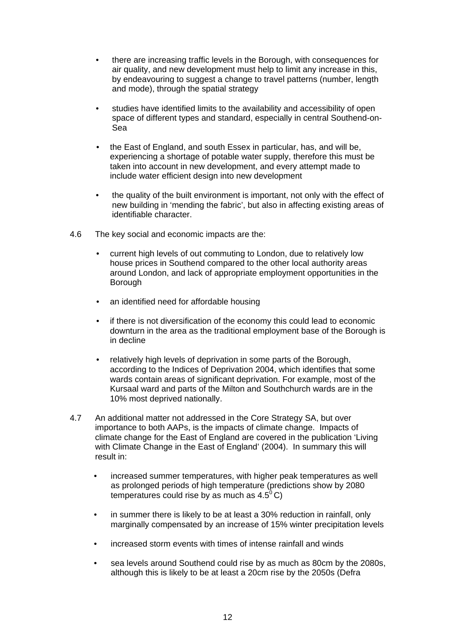- there are increasing traffic levels in the Borough, with consequences for air quality, and new development must help to limit any increase in this, by endeavouring to suggest a change to travel patterns (number, length and mode), through the spatial strategy
- studies have identified limits to the availability and accessibility of open space of different types and standard, especially in central Southend-on-Sea
- the East of England, and south Essex in particular, has, and will be, experiencing a shortage of potable water supply, therefore this must be taken into account in new development, and every attempt made to include water efficient design into new development
- the quality of the built environment is important, not only with the effect of new building in 'mending the fabric', but also in affecting existing areas of identifiable character.
- 4.6 The key social and economic impacts are the:
	- current high levels of out commuting to London, due to relatively low house prices in Southend compared to the other local authority areas around London, and lack of appropriate employment opportunities in the **Borough**
	- an identified need for affordable housing
	- if there is not diversification of the economy this could lead to economic downturn in the area as the traditional employment base of the Borough is in decline
	- relatively high levels of deprivation in some parts of the Borough, according to the Indices of Deprivation 2004, which identifies that some wards contain areas of significant deprivation. For example, most of the Kursaal ward and parts of the Milton and Southchurch wards are in the 10% most deprived nationally.
- 4.7 An additional matter not addressed in the Core Strategy SA, but over importance to both AAPs, is the impacts of climate change. Impacts of climate change for the East of England are covered in the publication 'Living with Climate Change in the East of England' (2004). In summary this will result in:
	- increased summer temperatures, with higher peak temperatures as well as prolonged periods of high temperature (predictions show by 2080 temperatures could rise by as much as  $4.5^{\circ}$ C)
	- in summer there is likely to be at least a 30% reduction in rainfall, only marginally compensated by an increase of 15% winter precipitation levels
	- increased storm events with times of intense rainfall and winds
	- sea levels around Southend could rise by as much as 80cm by the 2080s, although this is likely to be at least a 20cm rise by the 2050s (Defra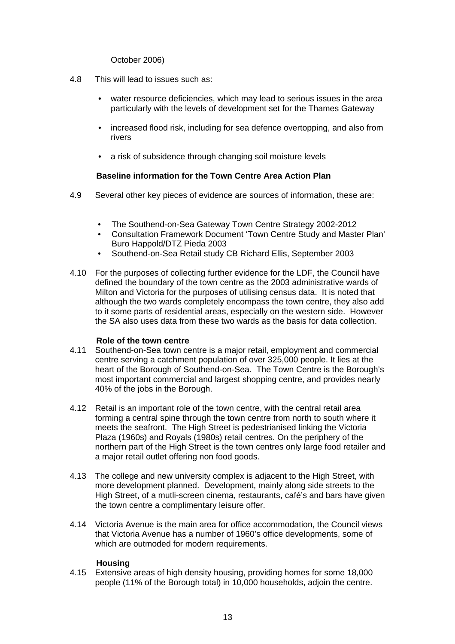October 2006)

- 4.8 This will lead to issues such as:
	- water resource deficiencies, which may lead to serious issues in the area particularly with the levels of development set for the Thames Gateway
	- increased flood risk, including for sea defence overtopping, and also from rivers
	- a risk of subsidence through changing soil moisture levels

## **Baseline information for the Town Centre Area Action Plan**

- 4.9 Several other key pieces of evidence are sources of information, these are:
	- The Southend-on-Sea Gateway Town Centre Strategy 2002-2012
	- Consultation Framework Document 'Town Centre Study and Master Plan' Buro Happold/DTZ Pieda 2003
	- Southend-on-Sea Retail study CB Richard Ellis, September 2003
- 4.10 For the purposes of collecting further evidence for the LDF, the Council have defined the boundary of the town centre as the 2003 administrative wards of Milton and Victoria for the purposes of utilising census data. It is noted that although the two wards completely encompass the town centre, they also add to it some parts of residential areas, especially on the western side. However the SA also uses data from these two wards as the basis for data collection.

#### **Role of the town centre**

- 4.11 Southend-on-Sea town centre is a major retail, employment and commercial centre serving a catchment population of over 325,000 people. It lies at the heart of the Borough of Southend-on-Sea. The Town Centre is the Borough's most important commercial and largest shopping centre, and provides nearly 40% of the jobs in the Borough.
- 4.12 Retail is an important role of the town centre, with the central retail area forming a central spine through the town centre from north to south where it meets the seafront. The High Street is pedestrianised linking the Victoria Plaza (1960s) and Royals (1980s) retail centres. On the periphery of the northern part of the High Street is the town centres only large food retailer and a major retail outlet offering non food goods.
- 4.13 The college and new university complex is adjacent to the High Street, with more development planned. Development, mainly along side streets to the High Street, of a mutli-screen cinema, restaurants, café's and bars have given the town centre a complimentary leisure offer.
- 4.14 Victoria Avenue is the main area for office accommodation, the Council views that Victoria Avenue has a number of 1960's office developments, some of which are outmoded for modern requirements.

## **Housing**

4.15 Extensive areas of high density housing, providing homes for some 18,000 people (11% of the Borough total) in 10,000 households, adjoin the centre.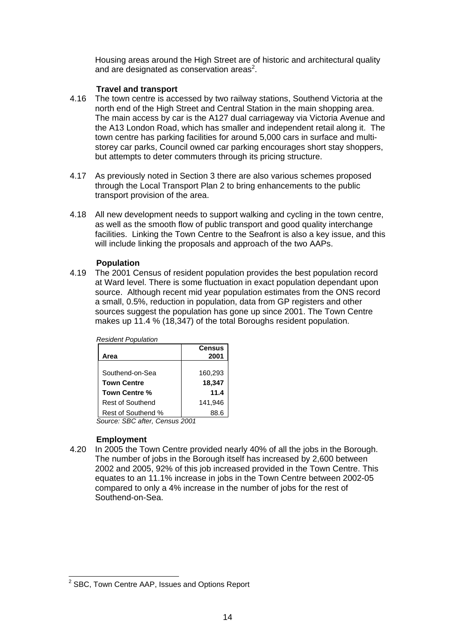Housing areas around the High Street are of historic and architectural quality and are designated as conservation areas<sup>2</sup>.

## **Travel and transport**

- 4.16 The town centre is accessed by two railway stations, Southend Victoria at the north end of the High Street and Central Station in the main shopping area. The main access by car is the A127 dual carriageway via Victoria Avenue and the A13 London Road, which has smaller and independent retail along it. The town centre has parking facilities for around 5,000 cars in surface and multistorey car parks, Council owned car parking encourages short stay shoppers, but attempts to deter commuters through its pricing structure.
- 4.17 As previously noted in Section 3 there are also various schemes proposed through the Local Transport Plan 2 to bring enhancements to the public transport provision of the area.
- 4.18 All new development needs to support walking and cycling in the town centre, as well as the smooth flow of public transport and good quality interchange facilities. Linking the Town Centre to the Seafront is also a key issue, and this will include linking the proposals and approach of the two AAPs.

#### **Population**

4.19 The 2001 Census of resident population provides the best population record at Ward level. There is some fluctuation in exact population dependant upon source. Although recent mid year population estimates from the ONS record a small, 0.5%, reduction in population, data from GP registers and other sources suggest the population has gone up since 2001. The Town Centre makes up 11.4 % (18,347) of the total Boroughs resident population.

| <b>Resident Population</b> |                       |
|----------------------------|-----------------------|
| Area                       | <b>Census</b><br>2001 |
|                            |                       |
| Southend-on-Sea            | 160,293               |
| <b>Town Centre</b>         | 18,347                |
| Town Centre %              | 11.4                  |
| Rest of Southend           | 141.946               |
| Rest of Southend %         | 88.6                  |

*Source: SBC after, Census 2001* 

## **Employment**

4.20 In 2005 the Town Centre provided nearly 40% of all the jobs in the Borough. The number of jobs in the Borough itself has increased by 2,600 between 2002 and 2005, 92% of this job increased provided in the Town Centre. This equates to an 11.1% increase in jobs in the Town Centre between 2002-05 compared to only a 4% increase in the number of jobs for the rest of Southend-on-Sea.

 2 SBC, Town Centre AAP, Issues and Options Report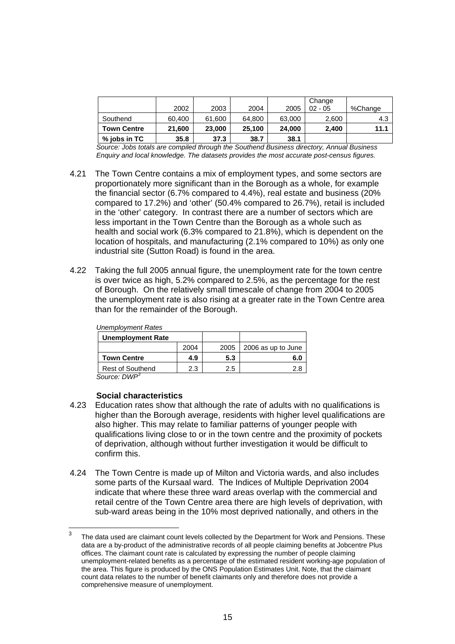|                    | 2002   | 2003   | 2004   | 2005   | Change<br>$02 - 05$ | %Change |
|--------------------|--------|--------|--------|--------|---------------------|---------|
| Southend           | 60,400 | 61,600 | 64,800 | 63,000 | 2,600               | 4.3     |
| <b>Town Centre</b> | 21,600 | 23,000 | 25.100 | 24,000 | 2.400               | 11.1    |
| $%$ jobs in TC     | 35.8   | 37.3   | 38.7   | 38.1   |                     |         |

*Source: Jobs totals are compiled through the Southend Business directory, Annual Business Enquiry and local knowledge. The datasets provides the most accurate post-census figures.* 

- 4.21 The Town Centre contains a mix of employment types, and some sectors are proportionately more significant than in the Borough as a whole, for example the financial sector (6.7% compared to 4.4%), real estate and business (20% compared to 17.2%) and 'other' (50.4% compared to 26.7%), retail is included in the 'other' category. In contrast there are a number of sectors which are less important in the Town Centre than the Borough as a whole such as health and social work (6.3% compared to 21.8%), which is dependent on the location of hospitals, and manufacturing (2.1% compared to 10%) as only one industrial site (Sutton Road) is found in the area.
- 4.22 Taking the full 2005 annual figure, the unemployment rate for the town centre is over twice as high, 5.2% compared to 2.5%, as the percentage for the rest of Borough. On the relatively small timescale of change from 2004 to 2005 the unemployment rate is also rising at a greater rate in the Town Centre area than for the remainder of the Borough.

| <b>Unemployment Rates</b> |      |      |                    |
|---------------------------|------|------|--------------------|
| <b>Unemployment Rate</b>  |      |      |                    |
|                           | 2004 | 2005 | 2006 as up to June |
| <b>Town Centre</b>        | 4.9  | 5.3  | 6.0                |
| <b>Rest of Southend</b>   | 2.3  | 2.5  | 2.8                |
| Source: DWP <sup>3</sup>  |      |      |                    |

#### **Social characteristics**

- 4.23 Education rates show that although the rate of adults with no qualifications is higher than the Borough average, residents with higher level qualifications are also higher. This may relate to familiar patterns of younger people with qualifications living close to or in the town centre and the proximity of pockets of deprivation, although without further investigation it would be difficult to confirm this.
- 4.24 The Town Centre is made up of Milton and Victoria wards, and also includes some parts of the Kursaal ward. The Indices of Multiple Deprivation 2004 indicate that where these three ward areas overlap with the commercial and retail centre of the Town Centre area there are high levels of deprivation, with sub-ward areas being in the 10% most deprived nationally, and others in the

 3 The data used are claimant count levels collected by the Department for Work and Pensions. These data are a by-product of the administrative records of all people claiming benefits at Jobcentre Plus offices. The claimant count rate is calculated by expressing the number of people claiming unemployment-related benefits as a percentage of the estimated resident working-age population of the area. This figure is produced by the ONS Population Estimates Unit. Note, that the claimant count data relates to the number of benefit claimants only and therefore does not provide a comprehensive measure of unemployment.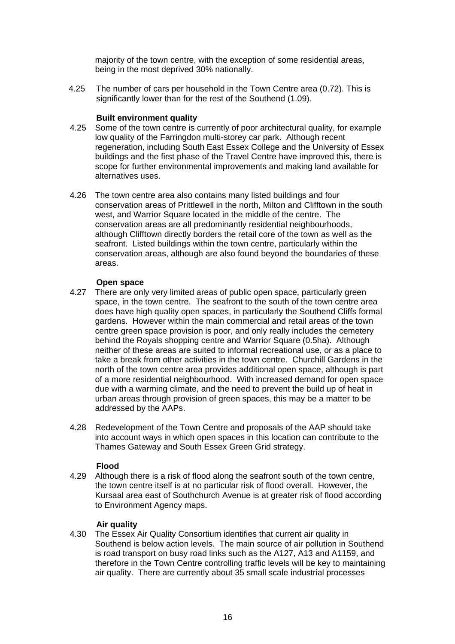majority of the town centre, with the exception of some residential areas, being in the most deprived 30% nationally.

4.25 The number of cars per household in the Town Centre area (0.72). This is significantly lower than for the rest of the Southend (1.09).

#### **Built environment quality**

- 4.25 Some of the town centre is currently of poor architectural quality, for example low quality of the Farringdon multi-storey car park. Although recent regeneration, including South East Essex College and the University of Essex buildings and the first phase of the Travel Centre have improved this, there is scope for further environmental improvements and making land available for alternatives uses.
- 4.26 The town centre area also contains many listed buildings and four conservation areas of Prittlewell in the north, Milton and Clifftown in the south west, and Warrior Square located in the middle of the centre. The conservation areas are all predominantly residential neighbourhoods, although Clifftown directly borders the retail core of the town as well as the seafront. Listed buildings within the town centre, particularly within the conservation areas, although are also found beyond the boundaries of these areas.

#### **Open space**

- 4.27 There are only very limited areas of public open space, particularly green space, in the town centre. The seafront to the south of the town centre area does have high quality open spaces, in particularly the Southend Cliffs formal gardens. However within the main commercial and retail areas of the town centre green space provision is poor, and only really includes the cemetery behind the Royals shopping centre and Warrior Square (0.5ha). Although neither of these areas are suited to informal recreational use, or as a place to take a break from other activities in the town centre. Churchill Gardens in the north of the town centre area provides additional open space, although is part of a more residential neighbourhood. With increased demand for open space due with a warming climate, and the need to prevent the build up of heat in urban areas through provision of green spaces, this may be a matter to be addressed by the AAPs.
- 4.28 Redevelopment of the Town Centre and proposals of the AAP should take into account ways in which open spaces in this location can contribute to the Thames Gateway and South Essex Green Grid strategy.

#### **Flood**

4.29 Although there is a risk of flood along the seafront south of the town centre, the town centre itself is at no particular risk of flood overall. However, the Kursaal area east of Southchurch Avenue is at greater risk of flood according to Environment Agency maps.

#### **Air quality**

4.30 The Essex Air Quality Consortium identifies that current air quality in Southend is below action levels. The main source of air pollution in Southend is road transport on busy road links such as the A127, A13 and A1159, and therefore in the Town Centre controlling traffic levels will be key to maintaining air quality. There are currently about 35 small scale industrial processes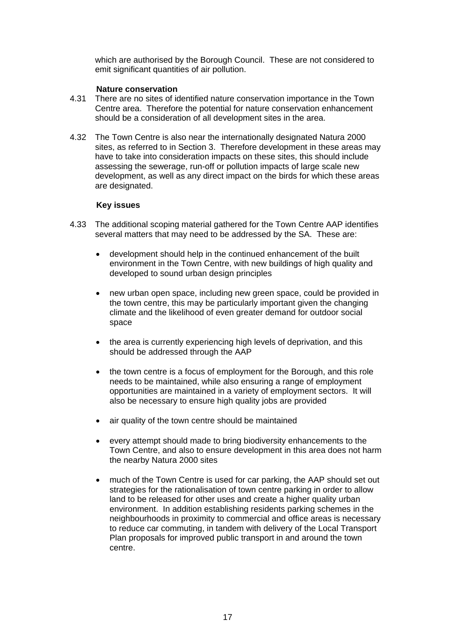which are authorised by the Borough Council. These are not considered to emit significant quantities of air pollution.

#### **Nature conservation**

- 4.31 There are no sites of identified nature conservation importance in the Town Centre area. Therefore the potential for nature conservation enhancement should be a consideration of all development sites in the area.
- 4.32 The Town Centre is also near the internationally designated Natura 2000 sites, as referred to in Section 3. Therefore development in these areas may have to take into consideration impacts on these sites, this should include assessing the sewerage, run-off or pollution impacts of large scale new development, as well as any direct impact on the birds for which these areas are designated.

#### **Key issues**

- 4.33 The additional scoping material gathered for the Town Centre AAP identifies several matters that may need to be addressed by the SA. These are:
	- development should help in the continued enhancement of the built environment in the Town Centre, with new buildings of high quality and developed to sound urban design principles
	- new urban open space, including new green space, could be provided in the town centre, this may be particularly important given the changing climate and the likelihood of even greater demand for outdoor social space
	- the area is currently experiencing high levels of deprivation, and this should be addressed through the AAP
	- the town centre is a focus of employment for the Borough, and this role needs to be maintained, while also ensuring a range of employment opportunities are maintained in a variety of employment sectors. It will also be necessary to ensure high quality jobs are provided
	- air quality of the town centre should be maintained
	- every attempt should made to bring biodiversity enhancements to the Town Centre, and also to ensure development in this area does not harm the nearby Natura 2000 sites
	- much of the Town Centre is used for car parking, the AAP should set out strategies for the rationalisation of town centre parking in order to allow land to be released for other uses and create a higher quality urban environment. In addition establishing residents parking schemes in the neighbourhoods in proximity to commercial and office areas is necessary to reduce car commuting, in tandem with delivery of the Local Transport Plan proposals for improved public transport in and around the town centre.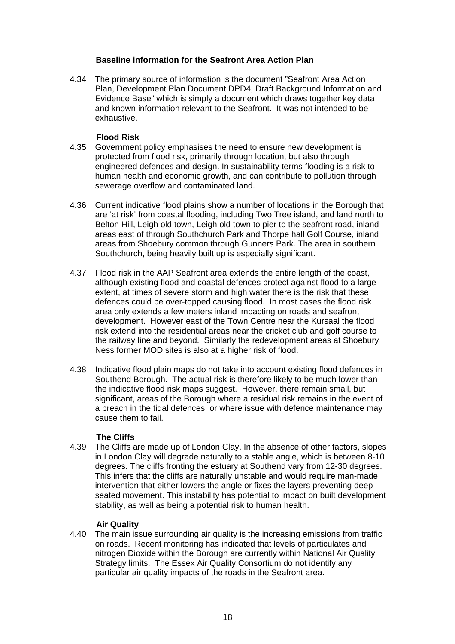#### **Baseline information for the Seafront Area Action Plan**

4.34 The primary source of information is the document "Seafront Area Action Plan, Development Plan Document DPD4, Draft Background Information and Evidence Base" which is simply a document which draws together key data and known information relevant to the Seafront. It was not intended to be exhaustive.

#### **Flood Risk**

- 4.35 Government policy emphasises the need to ensure new development is protected from flood risk, primarily through location, but also through engineered defences and design. In sustainability terms flooding is a risk to human health and economic growth, and can contribute to pollution through sewerage overflow and contaminated land.
- 4.36 Current indicative flood plains show a number of locations in the Borough that are 'at risk' from coastal flooding, including Two Tree island, and land north to Belton Hill, Leigh old town, Leigh old town to pier to the seafront road, inland areas east of through Southchurch Park and Thorpe hall Golf Course, inland areas from Shoebury common through Gunners Park. The area in southern Southchurch, being heavily built up is especially significant.
- 4.37 Flood risk in the AAP Seafront area extends the entire length of the coast, although existing flood and coastal defences protect against flood to a large extent, at times of severe storm and high water there is the risk that these defences could be over-topped causing flood. In most cases the flood risk area only extends a few meters inland impacting on roads and seafront development. However east of the Town Centre near the Kursaal the flood risk extend into the residential areas near the cricket club and golf course to the railway line and beyond. Similarly the redevelopment areas at Shoebury Ness former MOD sites is also at a higher risk of flood.
- 4.38 Indicative flood plain maps do not take into account existing flood defences in Southend Borough. The actual risk is therefore likely to be much lower than the indicative flood risk maps suggest. However, there remain small, but significant, areas of the Borough where a residual risk remains in the event of a breach in the tidal defences, or where issue with defence maintenance may cause them to fail.

## **The Cliffs**

4.39 The Cliffs are made up of London Clay. In the absence of other factors, slopes in London Clay will degrade naturally to a stable angle, which is between 8-10 degrees. The cliffs fronting the estuary at Southend vary from 12-30 degrees. This infers that the cliffs are naturally unstable and would require man-made intervention that either lowers the angle or fixes the layers preventing deep seated movement. This instability has potential to impact on built development stability, as well as being a potential risk to human health.

## **Air Quality**

4.40 The main issue surrounding air quality is the increasing emissions from traffic on roads. Recent monitoring has indicated that levels of particulates and nitrogen Dioxide within the Borough are currently within National Air Quality Strategy limits. The Essex Air Quality Consortium do not identify any particular air quality impacts of the roads in the Seafront area.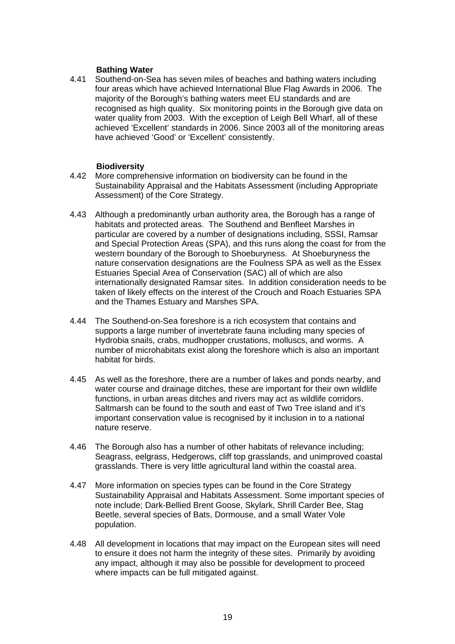## **Bathing Water**

4.41 Southend-on-Sea has seven miles of beaches and bathing waters including four areas which have achieved International Blue Flag Awards in 2006. The majority of the Borough's bathing waters meet EU standards and are recognised as high quality. Six monitoring points in the Borough give data on water quality from 2003. With the exception of Leigh Bell Wharf, all of these achieved 'Excellent' standards in 2006. Since 2003 all of the monitoring areas have achieved 'Good' or 'Excellent' consistently.

## **Biodiversity**

- 4.42 More comprehensive information on biodiversity can be found in the Sustainability Appraisal and the Habitats Assessment (including Appropriate Assessment) of the Core Strategy.
- 4.43 Although a predominantly urban authority area, the Borough has a range of habitats and protected areas. The Southend and Benfleet Marshes in particular are covered by a number of designations including, SSSI, Ramsar and Special Protection Areas (SPA), and this runs along the coast for from the western boundary of the Borough to Shoeburyness. At Shoeburyness the nature conservation designations are the Foulness SPA as well as the Essex Estuaries Special Area of Conservation (SAC) all of which are also internationally designated Ramsar sites. In addition consideration needs to be taken of likely effects on the interest of the Crouch and Roach Estuaries SPA and the Thames Estuary and Marshes SPA.
- 4.44 The Southend-on-Sea foreshore is a rich ecosystem that contains and supports a large number of invertebrate fauna including many species of Hydrobia snails, crabs, mudhopper crustations, molluscs, and worms. A number of microhabitats exist along the foreshore which is also an important habitat for birds.
- 4.45 As well as the foreshore, there are a number of lakes and ponds nearby, and water course and drainage ditches, these are important for their own wildlife functions, in urban areas ditches and rivers may act as wildlife corridors. Saltmarsh can be found to the south and east of Two Tree island and it's important conservation value is recognised by it inclusion in to a national nature reserve.
- 4.46 The Borough also has a number of other habitats of relevance including; Seagrass, eelgrass, Hedgerows, cliff top grasslands, and unimproved coastal grasslands. There is very little agricultural land within the coastal area.
- 4.47 More information on species types can be found in the Core Strategy Sustainability Appraisal and Habitats Assessment. Some important species of note include; Dark-Bellied Brent Goose, Skylark, Shrill Carder Bee, Stag Beetle, several species of Bats, Dormouse, and a small Water Vole population.
- 4.48 All development in locations that may impact on the European sites will need to ensure it does not harm the integrity of these sites. Primarily by avoiding any impact, although it may also be possible for development to proceed where impacts can be full mitigated against.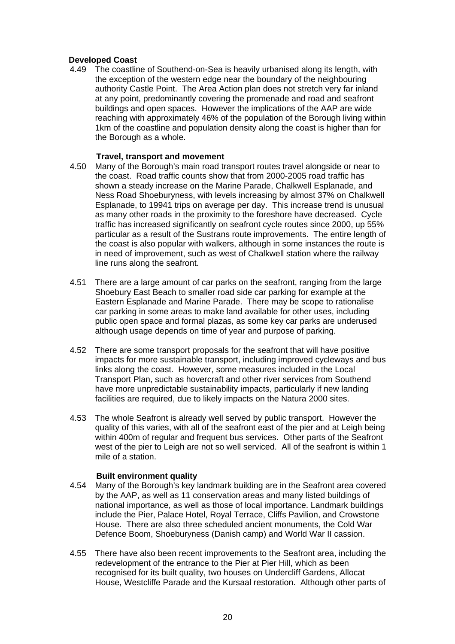## **Developed Coast**

4.49 The coastline of Southend-on-Sea is heavily urbanised along its length, with the exception of the western edge near the boundary of the neighbouring authority Castle Point. The Area Action plan does not stretch very far inland at any point, predominantly covering the promenade and road and seafront buildings and open spaces. However the implications of the AAP are wide reaching with approximately 46% of the population of the Borough living within 1km of the coastline and population density along the coast is higher than for the Borough as a whole.

#### **Travel, transport and movement**

- 4.50 Many of the Borough's main road transport routes travel alongside or near to the coast. Road traffic counts show that from 2000-2005 road traffic has shown a steady increase on the Marine Parade, Chalkwell Esplanade, and Ness Road Shoeburyness, with levels increasing by almost 37% on Chalkwell Esplanade, to 19941 trips on average per day. This increase trend is unusual as many other roads in the proximity to the foreshore have decreased. Cycle traffic has increased significantly on seafront cycle routes since 2000, up 55% particular as a result of the Sustrans route improvements. The entire length of the coast is also popular with walkers, although in some instances the route is in need of improvement, such as west of Chalkwell station where the railway line runs along the seafront.
- 4.51 There are a large amount of car parks on the seafront, ranging from the large Shoebury East Beach to smaller road side car parking for example at the Eastern Esplanade and Marine Parade. There may be scope to rationalise car parking in some areas to make land available for other uses, including public open space and formal plazas, as some key car parks are underused although usage depends on time of year and purpose of parking.
- 4.52 There are some transport proposals for the seafront that will have positive impacts for more sustainable transport, including improved cycleways and bus links along the coast. However, some measures included in the Local Transport Plan, such as hovercraft and other river services from Southend have more unpredictable sustainability impacts, particularly if new landing facilities are required, due to likely impacts on the Natura 2000 sites.
- 4.53 The whole Seafront is already well served by public transport. However the quality of this varies, with all of the seafront east of the pier and at Leigh being within 400m of regular and frequent bus services. Other parts of the Seafront west of the pier to Leigh are not so well serviced. All of the seafront is within 1 mile of a station.

#### **Built environment quality**

- 4.54 Many of the Borough's key landmark building are in the Seafront area covered by the AAP, as well as 11 conservation areas and many listed buildings of national importance, as well as those of local importance. Landmark buildings include the Pier, Palace Hotel, Royal Terrace, Cliffs Pavilion, and Crowstone House. There are also three scheduled ancient monuments, the Cold War Defence Boom, Shoeburyness (Danish camp) and World War II cassion.
- 4.55 There have also been recent improvements to the Seafront area, including the redevelopment of the entrance to the Pier at Pier Hill, which as been recognised for its built quality, two houses on Undercliff Gardens, Allocat House, Westcliffe Parade and the Kursaal restoration. Although other parts of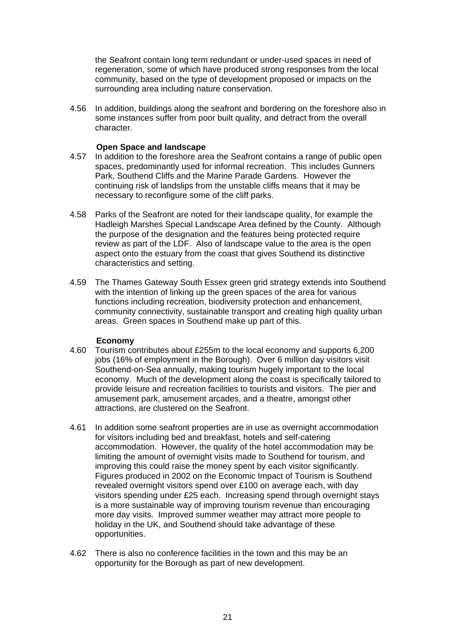the Seafront contain long term redundant or under-used spaces in need of regeneration, some of which have produced strong responses from the local community, based on the type of development proposed or impacts on the surrounding area including nature conservation.

4.56 In addition, buildings along the seafront and bordering on the foreshore also in some instances suffer from poor built quality, and detract from the overall character.

#### **Open Space and landscape**

- 4.57 In addition to the foreshore area the Seafront contains a range of public open spaces, predominantly used for informal recreation. This includes Gunners Park, Southend Cliffs and the Marine Parade Gardens. However the continuing risk of landslips from the unstable cliffs means that it may be necessary to reconfigure some of the cliff parks.
- 4.58 Parks of the Seafront are noted for their landscape quality, for example the Hadleigh Marshes Special Landscape Area defined by the County. Although the purpose of the designation and the features being protected require review as part of the LDF. Also of landscape value to the area is the open aspect onto the estuary from the coast that gives Southend its distinctive characteristics and setting.
- 4.59 The Thames Gateway South Essex green grid strategy extends into Southend with the intention of linking up the green spaces of the area for various functions including recreation, biodiversity protection and enhancement, community connectivity, sustainable transport and creating high quality urban areas. Green spaces in Southend make up part of this.

#### **Economy**

- 4.60 Tourism contributes about £255m to the local economy and supports 6,200 jobs (16% of employment in the Borough). Over 6 million day visitors visit Southend-on-Sea annually, making tourism hugely important to the local economy. Much of the development along the coast is specifically tailored to provide leisure and recreation facilities to tourists and visitors. The pier and amusement park, amusement arcades, and a theatre, amongst other attractions, are clustered on the Seafront.
- 4.61 In addition some seafront properties are in use as overnight accommodation for visitors including bed and breakfast, hotels and self-catering accommodation. However, the quality of the hotel accommodation may be limiting the amount of overnight visits made to Southend for tourism, and improving this could raise the money spent by each visitor significantly. Figures produced in 2002 on the Economic Impact of Tourism is Southend revealed overnight visitors spend over £100 on average each, with day visitors spending under £25 each. Increasing spend through overnight stays is a more sustainable way of improving tourism revenue than encouraging more day visits. Improved summer weather may attract more people to holiday in the UK, and Southend should take advantage of these opportunities.
- 4.62 There is also no conference facilities in the town and this may be an opportunity for the Borough as part of new development.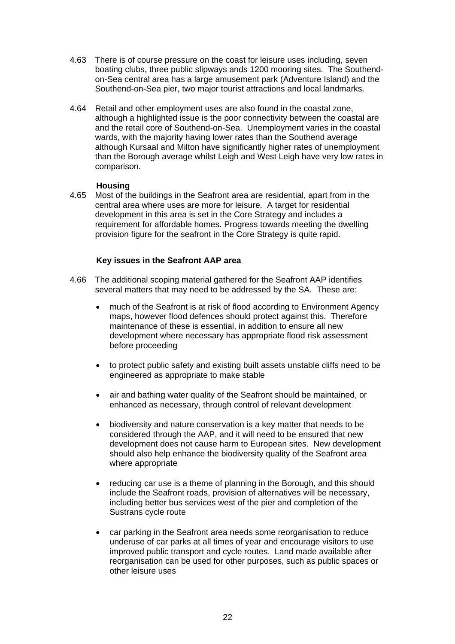- 4.63 There is of course pressure on the coast for leisure uses including, seven boating clubs, three public slipways ands 1200 mooring sites. The Southendon-Sea central area has a large amusement park (Adventure Island) and the Southend-on-Sea pier, two major tourist attractions and local landmarks.
- 4.64 Retail and other employment uses are also found in the coastal zone, although a highlighted issue is the poor connectivity between the coastal are and the retail core of Southend-on-Sea. Unemployment varies in the coastal wards, with the majority having lower rates than the Southend average although Kursaal and Milton have significantly higher rates of unemployment than the Borough average whilst Leigh and West Leigh have very low rates in comparison.

## **Housing**

4.65 Most of the buildings in the Seafront area are residential, apart from in the central area where uses are more for leisure. A target for residential development in this area is set in the Core Strategy and includes a requirement for affordable homes. Progress towards meeting the dwelling provision figure for the seafront in the Core Strategy is quite rapid.

## **Key issues in the Seafront AAP area**

- 4.66 The additional scoping material gathered for the Seafront AAP identifies several matters that may need to be addressed by the SA. These are:
	- much of the Seafront is at risk of flood according to Environment Agency maps, however flood defences should protect against this. Therefore maintenance of these is essential, in addition to ensure all new development where necessary has appropriate flood risk assessment before proceeding
	- to protect public safety and existing built assets unstable cliffs need to be engineered as appropriate to make stable
	- air and bathing water quality of the Seafront should be maintained, or enhanced as necessary, through control of relevant development
	- biodiversity and nature conservation is a key matter that needs to be considered through the AAP, and it will need to be ensured that new development does not cause harm to European sites. New development should also help enhance the biodiversity quality of the Seafront area where appropriate
	- reducing car use is a theme of planning in the Borough, and this should include the Seafront roads, provision of alternatives will be necessary, including better bus services west of the pier and completion of the Sustrans cycle route
	- car parking in the Seafront area needs some reorganisation to reduce underuse of car parks at all times of year and encourage visitors to use improved public transport and cycle routes. Land made available after reorganisation can be used for other purposes, such as public spaces or other leisure uses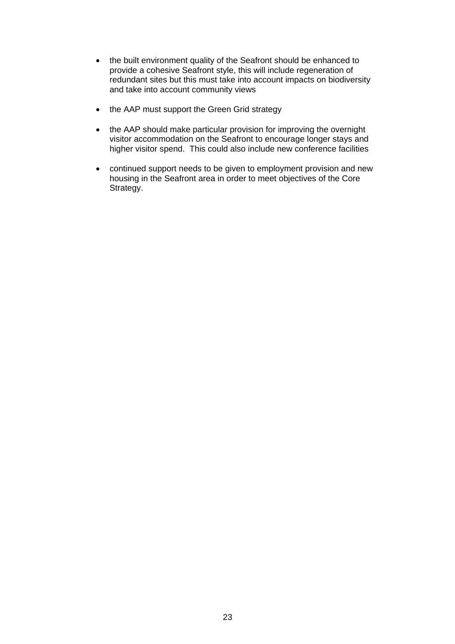- the built environment quality of the Seafront should be enhanced to provide a cohesive Seafront style, this will include regeneration of redundant sites but this must take into account impacts on biodiversity and take into account community views
- the AAP must support the Green Grid strategy
- the AAP should make particular provision for improving the overnight visitor accommodation on the Seafront to encourage longer stays and higher visitor spend. This could also include new conference facilities
- continued support needs to be given to employment provision and new housing in the Seafront area in order to meet objectives of the Core Strategy.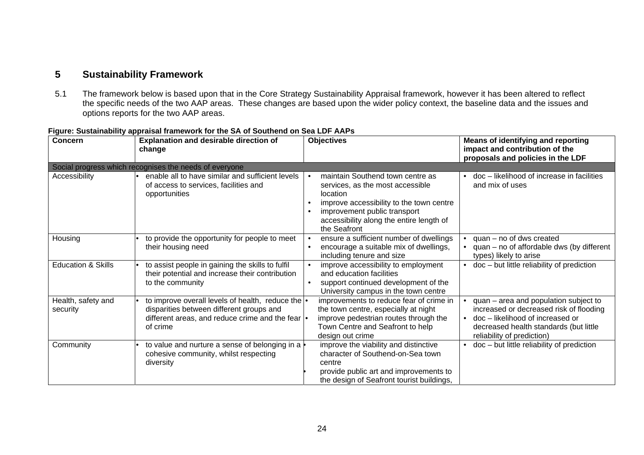# **5 Sustainability Framework**

5.1 The framework below is based upon that in the Core Strategy Sustainability Appraisal framework, however it has been altered to reflect the specific needs of the two AAP areas. These changes are based upon the wider policy context, the baseline data and the issues and options reports for the two AAP areas.

| <b>Concern</b>                 | <b>Explanation and desirable direction of</b><br>change                                                                                                         | <b>Objectives</b>                                                                                                                                                                                                                                  | <b>Means of identifying and reporting</b><br>impact and contribution of the<br>proposals and policies in the LDF                                                                               |
|--------------------------------|-----------------------------------------------------------------------------------------------------------------------------------------------------------------|----------------------------------------------------------------------------------------------------------------------------------------------------------------------------------------------------------------------------------------------------|------------------------------------------------------------------------------------------------------------------------------------------------------------------------------------------------|
|                                | Social progress which recognises the needs of everyone                                                                                                          |                                                                                                                                                                                                                                                    |                                                                                                                                                                                                |
| Accessibility                  | enable all to have similar and sufficient levels<br>of access to services, facilities and<br>opportunities                                                      | maintain Southend town centre as<br>services, as the most accessible<br>location<br>improve accessibility to the town centre<br>$\bullet$<br>improvement public transport<br>$\bullet$<br>accessibility along the entire length of<br>the Seafront | doc - likelihood of increase in facilities<br>and mix of uses                                                                                                                                  |
| Housing                        | to provide the opportunity for people to meet<br>their housing need                                                                                             | ensure a sufficient number of dwellings<br>$\bullet$<br>encourage a suitable mix of dwellings,<br>$\bullet$<br>including tenure and size                                                                                                           | $quan - no$ of dws created<br>$quan - no$ of affordable dws (by different<br>types) likely to arise                                                                                            |
| <b>Education &amp; Skills</b>  | to assist people in gaining the skills to fulfil<br>their potential and increase their contribution<br>to the community                                         | improve accessibility to employment<br>$\bullet$<br>and education facilities<br>support continued development of the<br>$\bullet$<br>University campus in the town centre                                                                          | • doc - but little reliability of prediction                                                                                                                                                   |
| Health, safety and<br>security | to improve overall levels of health, reduce the  .<br>disparities between different groups and<br>different areas, and reduce crime and the fear  .<br>of crime | improvements to reduce fear of crime in<br>the town centre, especially at night<br>improve pedestrian routes through the<br>Town Centre and Seafront to help<br>design out crime                                                                   | • quan – area and population subject to<br>increased or decreased risk of flooding<br>doc - likelihood of increased or<br>decreased health standards (but little<br>reliability of prediction) |
| Community                      | to value and nurture a sense of belonging in a<br>cohesive community, whilst respecting<br>diversity                                                            | improve the viability and distinctive<br>character of Southend-on-Sea town<br>centre<br>provide public art and improvements to<br>the design of Seafront tourist buildings,                                                                        | $\bullet$ doc – but little reliability of prediction                                                                                                                                           |

#### **Figure: Sustainability appraisal framework for the SA of Southend on Sea LDF AAPs**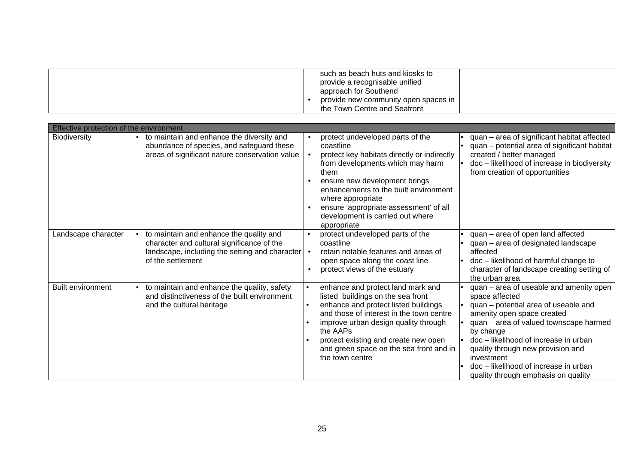|  | such as beach huts and kiosks to<br>provide a recognisable unified<br>approach for Southend |  |
|--|---------------------------------------------------------------------------------------------|--|
|  | provide new community open spaces in<br>the Town Centre and Seafront                        |  |

| Effective protection of the environment |                                                                                                                                                                  |                                                                                                                                                                                                                                                                                                                                                   |                                                                                                                                                                                                                                                                                                                                                                    |  |  |
|-----------------------------------------|------------------------------------------------------------------------------------------------------------------------------------------------------------------|---------------------------------------------------------------------------------------------------------------------------------------------------------------------------------------------------------------------------------------------------------------------------------------------------------------------------------------------------|--------------------------------------------------------------------------------------------------------------------------------------------------------------------------------------------------------------------------------------------------------------------------------------------------------------------------------------------------------------------|--|--|
| <b>Biodiversity</b>                     | to maintain and enhance the diversity and<br>abundance of species, and safeguard these<br>areas of significant nature conservation value                         | protect undeveloped parts of the<br>$\bullet$<br>coastline<br>protect key habitats directly or indirectly<br>from developments which may harm<br>them<br>ensure new development brings<br>enhancements to the built environment<br>where appropriate<br>ensure 'appropriate assessment' of all<br>development is carried out where<br>appropriate | quan - area of significant habitat affected<br>quan – potential area of significant habitat<br>created / better managed<br>doc - likelihood of increase in biodiversity<br>from creation of opportunities                                                                                                                                                          |  |  |
| Landscape character                     | to maintain and enhance the quality and<br>character and cultural significance of the<br>landscape, including the setting and character   •<br>of the settlement | protect undeveloped parts of the<br>coastline<br>retain notable features and areas of<br>open space along the coast line<br>protect views of the estuary                                                                                                                                                                                          | quan - area of open land affected<br>quan - area of designated landscape<br>affected<br>doc - likelihood of harmful change to<br>character of landscape creating setting of<br>the urban area                                                                                                                                                                      |  |  |
| <b>Built environment</b>                | to maintain and enhance the quality, safety<br>and distinctiveness of the built environment<br>and the cultural heritage                                         | enhance and protect land mark and<br>listed buildings on the sea front<br>enhance and protect listed buildings<br>and those of interest in the town centre<br>improve urban design quality through<br>the AAPs<br>protect existing and create new open<br>and green space on the sea front and in<br>the town centre                              | quan - area of useable and amenity open<br>space affected<br>quan - potential area of useable and<br>amenity open space created<br>quan - area of valued townscape harmed<br>by change<br>doc - likelihood of increase in urban<br>quality through new provision and<br>investment<br>doc - likelihood of increase in urban<br>quality through emphasis on quality |  |  |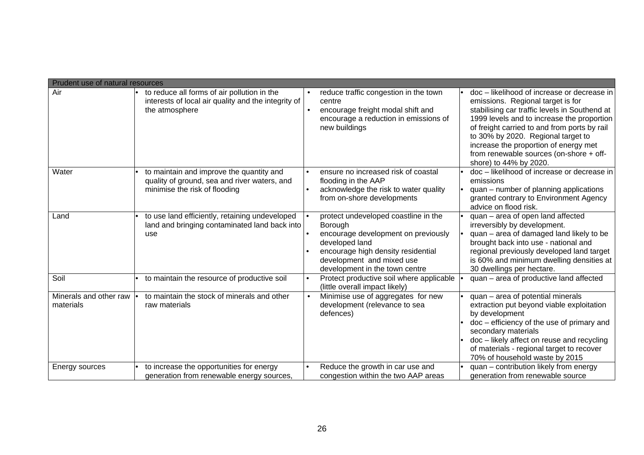|                                     | Prudent use of natural resources                                                                                          |                                                                                                                                                                                                               |                                                                                                                                                                                                                                                                                                                                                                                     |  |  |  |
|-------------------------------------|---------------------------------------------------------------------------------------------------------------------------|---------------------------------------------------------------------------------------------------------------------------------------------------------------------------------------------------------------|-------------------------------------------------------------------------------------------------------------------------------------------------------------------------------------------------------------------------------------------------------------------------------------------------------------------------------------------------------------------------------------|--|--|--|
| Air                                 | to reduce all forms of air pollution in the<br>interests of local air quality and the integrity of<br>the atmosphere      | reduce traffic congestion in the town<br>centre<br>encourage freight modal shift and<br>encourage a reduction in emissions of<br>new buildings                                                                | doc – likelihood of increase or decrease in<br>emissions. Regional target is for<br>stabilising car traffic levels in Southend at<br>1999 levels and to increase the proportion<br>of freight carried to and from ports by rail<br>to 30% by 2020. Regional target to<br>increase the proportion of energy met<br>from renewable sources (on-shore + off-<br>shore) to 44% by 2020. |  |  |  |
| Water                               | to maintain and improve the quantity and<br>quality of ground, sea and river waters, and<br>minimise the risk of flooding | ensure no increased risk of coastal<br>flooding in the AAP<br>acknowledge the risk to water quality<br>from on-shore developments                                                                             | doc - likelihood of increase or decrease in<br>emissions<br>quan – number of planning applications<br>granted contrary to Environment Agency<br>advice on flood risk.                                                                                                                                                                                                               |  |  |  |
| Land                                | to use land efficiently, retaining undeveloped<br>land and bringing contaminated land back into<br>use                    | protect undeveloped coastline in the<br>Borough<br>encourage development on previously<br>developed land<br>encourage high density residential<br>development and mixed use<br>development in the town centre | quan - area of open land affected<br>irreversibly by development.<br>quan - area of damaged land likely to be<br>brought back into use - national and<br>regional previously developed land target<br>is 60% and minimum dwelling densities at<br>30 dwellings per hectare.                                                                                                         |  |  |  |
| Soil                                | to maintain the resource of productive soil                                                                               | Protect productive soil where applicable<br>$\bullet$<br>(little overall impact likely)                                                                                                                       | quan - area of productive land affected                                                                                                                                                                                                                                                                                                                                             |  |  |  |
| Minerals and other raw<br>materials | to maintain the stock of minerals and other<br>raw materials                                                              | Minimise use of aggregates for new<br>$\bullet$<br>development (relevance to sea<br>defences)                                                                                                                 | quan - area of potential minerals<br>extraction put beyond viable exploitation<br>by development<br>doc - efficiency of the use of primary and<br>secondary materials<br>doc - likely affect on reuse and recycling<br>of materials - regional target to recover<br>70% of household waste by 2015                                                                                  |  |  |  |
| Energy sources                      | to increase the opportunities for energy<br>generation from renewable energy sources,                                     | Reduce the growth in car use and<br>congestion within the two AAP areas                                                                                                                                       | quan - contribution likely from energy<br>generation from renewable source                                                                                                                                                                                                                                                                                                          |  |  |  |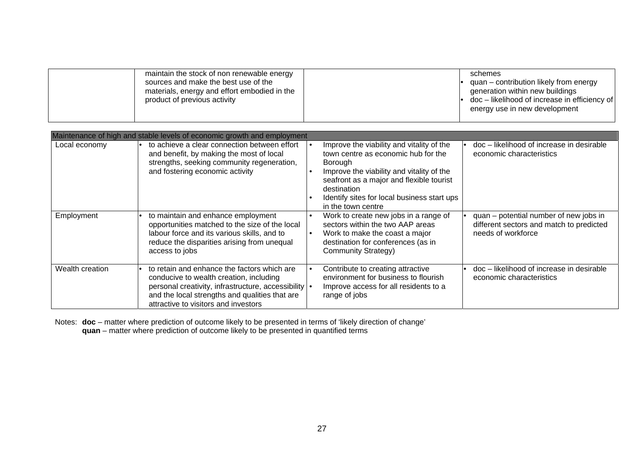| maintain the stock of non renewable energy<br>sources and make the best use of the<br>materials, energy and effort embodied in the<br>product of previous activity | schemes<br>quan – contribution likely from energy<br>generation within new buildings<br>$\bullet$ doc – likelihood of increase in efficiency of<br>energy use in new development |
|--------------------------------------------------------------------------------------------------------------------------------------------------------------------|----------------------------------------------------------------------------------------------------------------------------------------------------------------------------------|
|--------------------------------------------------------------------------------------------------------------------------------------------------------------------|----------------------------------------------------------------------------------------------------------------------------------------------------------------------------------|

|                 | Maintenance of high and stable levels of economic growth and employment                                                                                                                                                                    |                                                                                                                                                                                                                                                                                              |                                                                                                          |  |  |
|-----------------|--------------------------------------------------------------------------------------------------------------------------------------------------------------------------------------------------------------------------------------------|----------------------------------------------------------------------------------------------------------------------------------------------------------------------------------------------------------------------------------------------------------------------------------------------|----------------------------------------------------------------------------------------------------------|--|--|
| Local economy   | to achieve a clear connection between effort<br>and benefit, by making the most of local<br>strengths, seeking community regeneration,<br>and fostering economic activity                                                                  | Improve the viability and vitality of the<br>town centre as economic hub for the<br><b>Borough</b><br>Improve the viability and vitality of the<br>$\bullet$<br>seafront as a major and flexible tourist<br>destination<br>Identify sites for local business start ups<br>in the town centre | doc - likelihood of increase in desirable<br>economic characteristics                                    |  |  |
| Employment      | to maintain and enhance employment<br>opportunities matched to the size of the local<br>labour force and its various skills, and to<br>reduce the disparities arising from unequal<br>access to jobs                                       | Work to create new jobs in a range of<br>$\bullet$<br>sectors within the two AAP areas<br>Work to make the coast a major<br>$\bullet$<br>destination for conferences (as in<br><b>Community Strategy)</b>                                                                                    | quan - potential number of new jobs in<br>different sectors and match to predicted<br>needs of workforce |  |  |
| Wealth creation | to retain and enhance the factors which are<br>conducive to wealth creation, including<br>personal creativity, infrastructure, accessibility   •<br>and the local strengths and qualities that are<br>attractive to visitors and investors | Contribute to creating attractive<br>$\bullet$<br>environment for business to flourish<br>Improve access for all residents to a<br>range of jobs                                                                                                                                             | doc - likelihood of increase in desirable<br>economic characteristics                                    |  |  |

Notes: **doc** – matter where prediction of outcome likely to be presented in terms of 'likely direction of change' **quan** – matter where prediction of outcome likely to be presented in quantified terms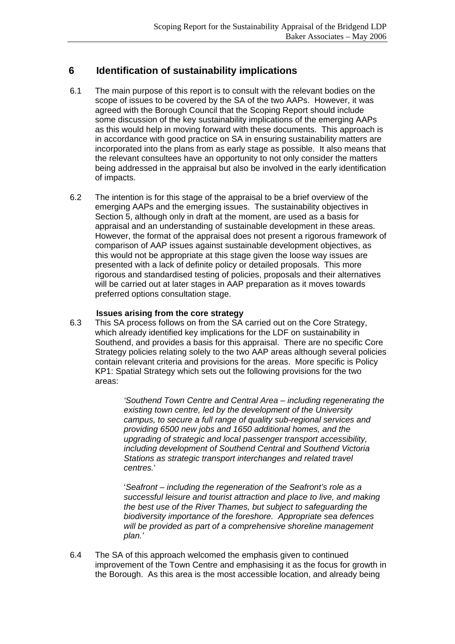# **6 Identification of sustainability implications**

- 6.1 The main purpose of this report is to consult with the relevant bodies on the scope of issues to be covered by the SA of the two AAPs. However, it was agreed with the Borough Council that the Scoping Report should include some discussion of the key sustainability implications of the emerging AAPs as this would help in moving forward with these documents. This approach is in accordance with good practice on SA in ensuring sustainability matters are incorporated into the plans from as early stage as possible. It also means that the relevant consultees have an opportunity to not only consider the matters being addressed in the appraisal but also be involved in the early identification of impacts.
- 6.2 The intention is for this stage of the appraisal to be a brief overview of the emerging AAPs and the emerging issues. The sustainability objectives in Section 5, although only in draft at the moment, are used as a basis for appraisal and an understanding of sustainable development in these areas. However, the format of the appraisal does not present a rigorous framework of comparison of AAP issues against sustainable development objectives, as this would not be appropriate at this stage given the loose way issues are presented with a lack of definite policy or detailed proposals. This more rigorous and standardised testing of policies, proposals and their alternatives will be carried out at later stages in AAP preparation as it moves towards preferred options consultation stage.

## **Issues arising from the core strategy**

6.3 This SA process follows on from the SA carried out on the Core Strategy, which already identified key implications for the LDF on sustainability in Southend, and provides a basis for this appraisal. There are no specific Core Strategy policies relating solely to the two AAP areas although several policies contain relevant criteria and provisions for the areas. More specific is Policy KP1: Spatial Strategy which sets out the following provisions for the two areas:

> *'Southend Town Centre and Central Area – including regenerating the existing town centre, led by the development of the University campus, to secure a full range of quality sub-regional services and providing 6500 new jobs and 1650 additional homes, and the upgrading of strategic and local passenger transport accessibility, including development of Southend Central and Southend Victoria Stations as strategic transport interchanges and related travel centres.*'

'*Seafront – including the regeneration of the Seafront's role as a successful leisure and tourist attraction and place to live, and making the best use of the River Thames, but subject to safeguarding the biodiversity importance of the foreshore. Appropriate sea defences will be provided as part of a comprehensive shoreline management plan.'*

6.4 The SA of this approach welcomed the emphasis given to continued improvement of the Town Centre and emphasising it as the focus for growth in the Borough. As this area is the most accessible location, and already being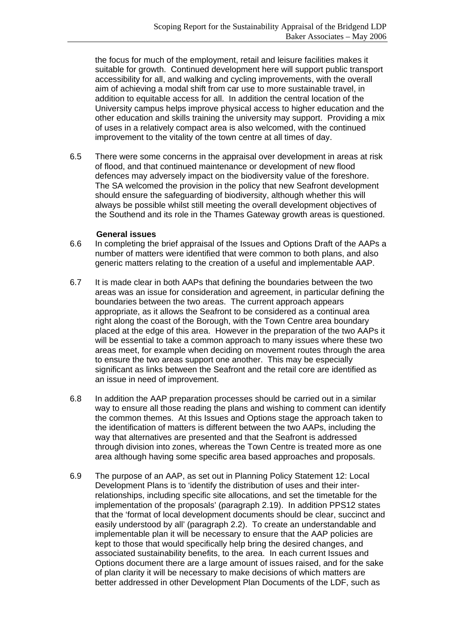the focus for much of the employment, retail and leisure facilities makes it suitable for growth. Continued development here will support public transport accessibility for all, and walking and cycling improvements, with the overall aim of achieving a modal shift from car use to more sustainable travel, in addition to equitable access for all. In addition the central location of the University campus helps improve physical access to higher education and the other education and skills training the university may support. Providing a mix of uses in a relatively compact area is also welcomed, with the continued improvement to the vitality of the town centre at all times of day.

6.5 There were some concerns in the appraisal over development in areas at risk of flood, and that continued maintenance or development of new flood defences may adversely impact on the biodiversity value of the foreshore. The SA welcomed the provision in the policy that new Seafront development should ensure the safeguarding of biodiversity, although whether this will always be possible whilst still meeting the overall development objectives of the Southend and its role in the Thames Gateway growth areas is questioned.

#### **General issues**

- 6.6 In completing the brief appraisal of the Issues and Options Draft of the AAPs a number of matters were identified that were common to both plans, and also generic matters relating to the creation of a useful and implementable AAP.
- 6.7 It is made clear in both AAPs that defining the boundaries between the two areas was an issue for consideration and agreement, in particular defining the boundaries between the two areas. The current approach appears appropriate, as it allows the Seafront to be considered as a continual area right along the coast of the Borough, with the Town Centre area boundary placed at the edge of this area. However in the preparation of the two AAPs it will be essential to take a common approach to many issues where these two areas meet, for example when deciding on movement routes through the area to ensure the two areas support one another. This may be especially significant as links between the Seafront and the retail core are identified as an issue in need of improvement.
- 6.8 In addition the AAP preparation processes should be carried out in a similar way to ensure all those reading the plans and wishing to comment can identify the common themes. At this Issues and Options stage the approach taken to the identification of matters is different between the two AAPs, including the way that alternatives are presented and that the Seafront is addressed through division into zones, whereas the Town Centre is treated more as one area although having some specific area based approaches and proposals.
- 6.9 The purpose of an AAP, as set out in Planning Policy Statement 12: Local Development Plans is to 'identify the distribution of uses and their interrelationships, including specific site allocations, and set the timetable for the implementation of the proposals' (paragraph 2.19). In addition PPS12 states that the 'format of local development documents should be clear, succinct and easily understood by all' (paragraph 2.2). To create an understandable and implementable plan it will be necessary to ensure that the AAP policies are kept to those that would specifically help bring the desired changes, and associated sustainability benefits, to the area. In each current Issues and Options document there are a large amount of issues raised, and for the sake of plan clarity it will be necessary to make decisions of which matters are better addressed in other Development Plan Documents of the LDF, such as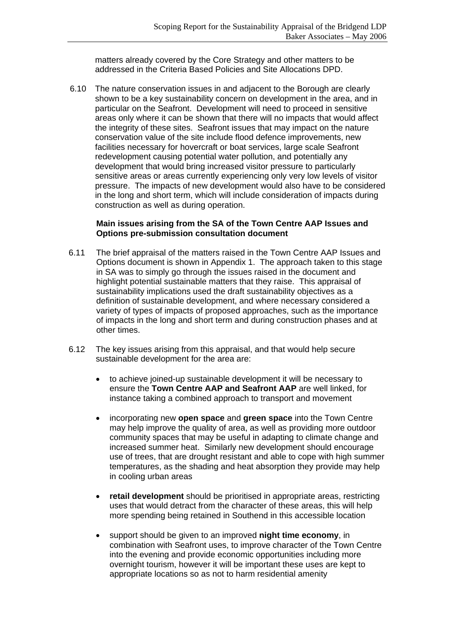matters already covered by the Core Strategy and other matters to be addressed in the Criteria Based Policies and Site Allocations DPD.

6.10 The nature conservation issues in and adjacent to the Borough are clearly shown to be a key sustainability concern on development in the area, and in particular on the Seafront. Development will need to proceed in sensitive areas only where it can be shown that there will no impacts that would affect the integrity of these sites. Seafront issues that may impact on the nature conservation value of the site include flood defence improvements, new facilities necessary for hovercraft or boat services, large scale Seafront redevelopment causing potential water pollution, and potentially any development that would bring increased visitor pressure to particularly sensitive areas or areas currently experiencing only very low levels of visitor pressure. The impacts of new development would also have to be considered in the long and short term, which will include consideration of impacts during construction as well as during operation.

## **Main issues arising from the SA of the Town Centre AAP Issues and Options pre-submission consultation document**

- 6.11 The brief appraisal of the matters raised in the Town Centre AAP Issues and Options document is shown in Appendix 1. The approach taken to this stage in SA was to simply go through the issues raised in the document and highlight potential sustainable matters that they raise. This appraisal of sustainability implications used the draft sustainability objectives as a definition of sustainable development, and where necessary considered a variety of types of impacts of proposed approaches, such as the importance of impacts in the long and short term and during construction phases and at other times.
- 6.12 The key issues arising from this appraisal, and that would help secure sustainable development for the area are:
	- to achieve joined-up sustainable development it will be necessary to ensure the **Town Centre AAP and Seafront AAP** are well linked, for instance taking a combined approach to transport and movement
	- incorporating new **open space** and **green space** into the Town Centre may help improve the quality of area, as well as providing more outdoor community spaces that may be useful in adapting to climate change and increased summer heat. Similarly new development should encourage use of trees, that are drought resistant and able to cope with high summer temperatures, as the shading and heat absorption they provide may help in cooling urban areas
	- **retail development** should be prioritised in appropriate areas, restricting uses that would detract from the character of these areas, this will help more spending being retained in Southend in this accessible location
	- support should be given to an improved **night time economy**, in combination with Seafront uses, to improve character of the Town Centre into the evening and provide economic opportunities including more overnight tourism, however it will be important these uses are kept to appropriate locations so as not to harm residential amenity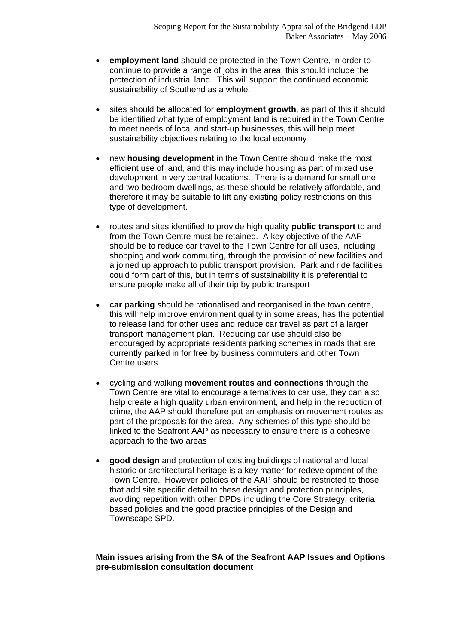- **employment land** should be protected in the Town Centre, in order to continue to provide a range of jobs in the area, this should include the protection of industrial land. This will support the continued economic sustainability of Southend as a whole.
- sites should be allocated for **employment growth**, as part of this it should be identified what type of employment land is required in the Town Centre to meet needs of local and start-up businesses, this will help meet sustainability objectives relating to the local economy
- new **housing development** in the Town Centre should make the most efficient use of land, and this may include housing as part of mixed use development in very central locations. There is a demand for small one and two bedroom dwellings, as these should be relatively affordable, and therefore it may be suitable to lift any existing policy restrictions on this type of development.
- routes and sites identified to provide high quality **public transport** to and from the Town Centre must be retained. A key objective of the AAP should be to reduce car travel to the Town Centre for all uses, including shopping and work commuting, through the provision of new facilities and a joined up approach to public transport provision. Park and ride facilities could form part of this, but in terms of sustainability it is preferential to ensure people make all of their trip by public transport
- **car parking** should be rationalised and reorganised in the town centre, this will help improve environment quality in some areas, has the potential to release land for other uses and reduce car travel as part of a larger transport management plan. Reducing car use should also be encouraged by appropriate residents parking schemes in roads that are currently parked in for free by business commuters and other Town Centre users
- cycling and walking **movement routes and connections** through the Town Centre are vital to encourage alternatives to car use, they can also help create a high quality urban environment, and help in the reduction of crime, the AAP should therefore put an emphasis on movement routes as part of the proposals for the area. Any schemes of this type should be linked to the Seafront AAP as necessary to ensure there is a cohesive approach to the two areas
- **good design** and protection of existing buildings of national and local historic or architectural heritage is a key matter for redevelopment of the Town Centre. However policies of the AAP should be restricted to those that add site specific detail to these design and protection principles, avoiding repetition with other DPDs including the Core Strategy, criteria based policies and the good practice principles of the Design and Townscape SPD.

## **Main issues arising from the SA of the Seafront AAP Issues and Options pre-submission consultation document**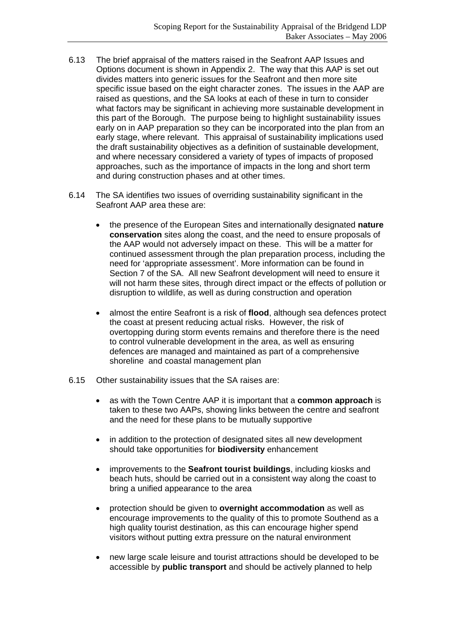- 6.13 The brief appraisal of the matters raised in the Seafront AAP Issues and Options document is shown in Appendix 2. The way that this AAP is set out divides matters into generic issues for the Seafront and then more site specific issue based on the eight character zones. The issues in the AAP are raised as questions, and the SA looks at each of these in turn to consider what factors may be significant in achieving more sustainable development in this part of the Borough. The purpose being to highlight sustainability issues early on in AAP preparation so they can be incorporated into the plan from an early stage, where relevant. This appraisal of sustainability implications used the draft sustainability objectives as a definition of sustainable development, and where necessary considered a variety of types of impacts of proposed approaches, such as the importance of impacts in the long and short term and during construction phases and at other times.
- 6.14 The SA identifies two issues of overriding sustainability significant in the Seafront AAP area these are:
	- the presence of the European Sites and internationally designated **nature conservation** sites along the coast, and the need to ensure proposals of the AAP would not adversely impact on these. This will be a matter for continued assessment through the plan preparation process, including the need for 'appropriate assessment'. More information can be found in Section 7 of the SA. All new Seafront development will need to ensure it will not harm these sites, through direct impact or the effects of pollution or disruption to wildlife, as well as during construction and operation
	- almost the entire Seafront is a risk of **flood**, although sea defences protect the coast at present reducing actual risks. However, the risk of overtopping during storm events remains and therefore there is the need to control vulnerable development in the area, as well as ensuring defences are managed and maintained as part of a comprehensive shoreline and coastal management plan
- 6.15 Other sustainability issues that the SA raises are:
	- as with the Town Centre AAP it is important that a **common approach** is taken to these two AAPs, showing links between the centre and seafront and the need for these plans to be mutually supportive
	- in addition to the protection of designated sites all new development should take opportunities for **biodiversity** enhancement
	- improvements to the **Seafront tourist buildings**, including kiosks and beach huts, should be carried out in a consistent way along the coast to bring a unified appearance to the area
	- protection should be given to **overnight accommodation** as well as encourage improvements to the quality of this to promote Southend as a high quality tourist destination, as this can encourage higher spend visitors without putting extra pressure on the natural environment
	- new large scale leisure and tourist attractions should be developed to be accessible by **public transport** and should be actively planned to help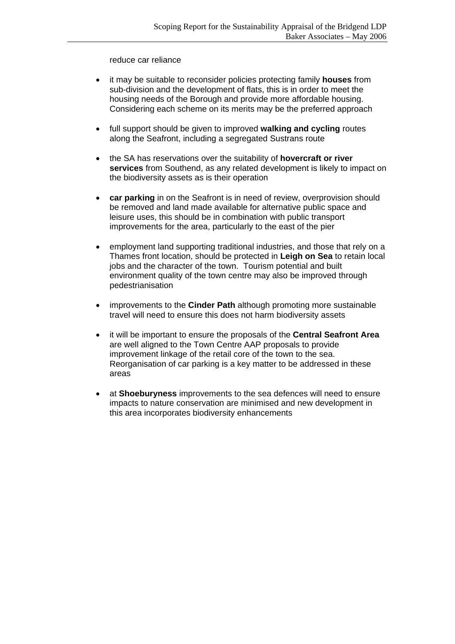reduce car reliance

- it may be suitable to reconsider policies protecting family **houses** from sub-division and the development of flats, this is in order to meet the housing needs of the Borough and provide more affordable housing. Considering each scheme on its merits may be the preferred approach
- full support should be given to improved **walking and cycling** routes along the Seafront, including a segregated Sustrans route
- the SA has reservations over the suitability of **hovercraft or river services** from Southend, as any related development is likely to impact on the biodiversity assets as is their operation
- **car parking** in on the Seafront is in need of review, overprovision should be removed and land made available for alternative public space and leisure uses, this should be in combination with public transport improvements for the area, particularly to the east of the pier
- employment land supporting traditional industries, and those that rely on a Thames front location, should be protected in **Leigh on Sea** to retain local jobs and the character of the town. Tourism potential and built environment quality of the town centre may also be improved through pedestrianisation
- improvements to the **Cinder Path** although promoting more sustainable travel will need to ensure this does not harm biodiversity assets
- it will be important to ensure the proposals of the **Central Seafront Area** are well aligned to the Town Centre AAP proposals to provide improvement linkage of the retail core of the town to the sea. Reorganisation of car parking is a key matter to be addressed in these areas
- at **Shoeburyness** improvements to the sea defences will need to ensure impacts to nature conservation are minimised and new development in this area incorporates biodiversity enhancements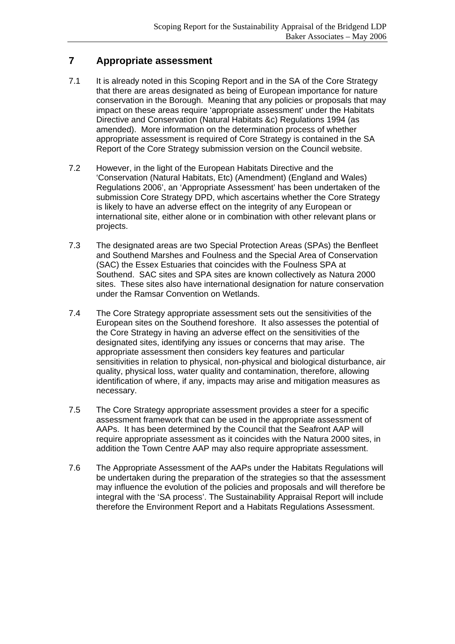# **7 Appropriate assessment**

- 7.1 It is already noted in this Scoping Report and in the SA of the Core Strategy that there are areas designated as being of European importance for nature conservation in the Borough. Meaning that any policies or proposals that may impact on these areas require 'appropriate assessment' under the Habitats Directive and Conservation (Natural Habitats &c) Regulations 1994 (as amended). More information on the determination process of whether appropriate assessment is required of Core Strategy is contained in the SA Report of the Core Strategy submission version on the Council website.
- 7.2 However, in the light of the European Habitats Directive and the 'Conservation (Natural Habitats, Etc) (Amendment) (England and Wales) Regulations 2006', an 'Appropriate Assessment' has been undertaken of the submission Core Strategy DPD, which ascertains whether the Core Strategy is likely to have an adverse effect on the integrity of any European or international site, either alone or in combination with other relevant plans or projects.
- 7.3 The designated areas are two Special Protection Areas (SPAs) the Benfleet and Southend Marshes and Foulness and the Special Area of Conservation (SAC) the Essex Estuaries that coincides with the Foulness SPA at Southend. SAC sites and SPA sites are known collectively as Natura 2000 sites. These sites also have international designation for nature conservation under the Ramsar Convention on Wetlands.
- 7.4 The Core Strategy appropriate assessment sets out the sensitivities of the European sites on the Southend foreshore. It also assesses the potential of the Core Strategy in having an adverse effect on the sensitivities of the designated sites, identifying any issues or concerns that may arise. The appropriate assessment then considers key features and particular sensitivities in relation to physical, non-physical and biological disturbance, air quality, physical loss, water quality and contamination, therefore, allowing identification of where, if any, impacts may arise and mitigation measures as necessary.
- 7.5 The Core Strategy appropriate assessment provides a steer for a specific assessment framework that can be used in the appropriate assessment of AAPs. It has been determined by the Council that the Seafront AAP will require appropriate assessment as it coincides with the Natura 2000 sites, in addition the Town Centre AAP may also require appropriate assessment.
- 7.6 The Appropriate Assessment of the AAPs under the Habitats Regulations will be undertaken during the preparation of the strategies so that the assessment may influence the evolution of the policies and proposals and will therefore be integral with the 'SA process'. The Sustainability Appraisal Report will include therefore the Environment Report and a Habitats Regulations Assessment.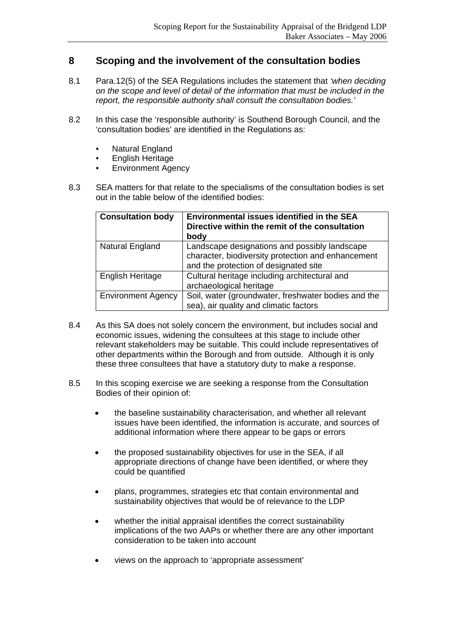# **8 Scoping and the involvement of the consultation bodies**

- 8.1 Para.12(5) of the SEA Regulations includes the statement that *'when deciding on the scope and level of detail of the information that must be included in the report, the responsible authority shall consult the consultation bodies.'*
- 8.2 In this case the 'responsible authority' is Southend Borough Council, and the 'consultation bodies' are identified in the Regulations as:
	- Natural England
	- English Heritage
	- Environment Agency
- 8.3 SEA matters for that relate to the specialisms of the consultation bodies is set out in the table below of the identified bodies:

| <b>Consultation body</b>  | <b>Environmental issues identified in the SEA</b><br>Directive within the remit of the consultation<br>body                                  |
|---------------------------|----------------------------------------------------------------------------------------------------------------------------------------------|
| Natural England           | Landscape designations and possibly landscape<br>character, biodiversity protection and enhancement<br>and the protection of designated site |
| <b>English Heritage</b>   | Cultural heritage including architectural and<br>archaeological heritage                                                                     |
| <b>Environment Agency</b> | Soil, water (groundwater, freshwater bodies and the<br>sea), air quality and climatic factors                                                |

- 8.4 As this SA does not solely concern the environment, but includes social and economic issues, widening the consultees at this stage to include other relevant stakeholders may be suitable. This could include representatives of other departments within the Borough and from outside. Although it is only these three consultees that have a statutory duty to make a response.
- 8.5 In this scoping exercise we are seeking a response from the Consultation Bodies of their opinion of:
	- the baseline sustainability characterisation, and whether all relevant issues have been identified, the information is accurate, and sources of additional information where there appear to be gaps or errors
	- the proposed sustainability objectives for use in the SEA, if all appropriate directions of change have been identified, or where they could be quantified
	- plans, programmes, strategies etc that contain environmental and sustainability objectives that would be of relevance to the LDP
	- whether the initial appraisal identifies the correct sustainability implications of the two AAPs or whether there are any other important consideration to be taken into account
	- views on the approach to 'appropriate assessment'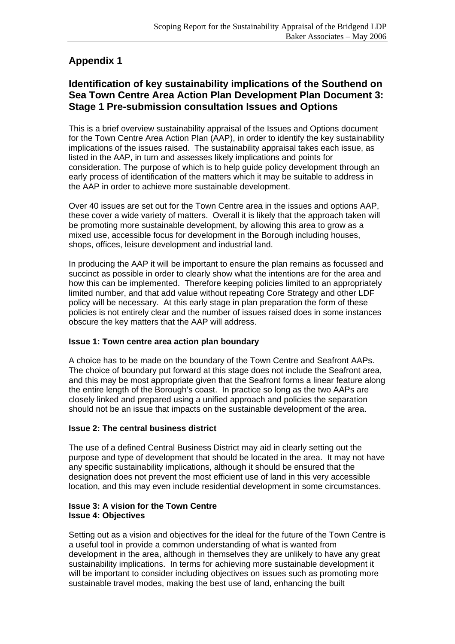# **Appendix 1**

# **Identification of key sustainability implications of the Southend on Sea Town Centre Area Action Plan Development Plan Document 3: Stage 1 Pre-submission consultation Issues and Options**

This is a brief overview sustainability appraisal of the Issues and Options document for the Town Centre Area Action Plan (AAP), in order to identify the key sustainability implications of the issues raised. The sustainability appraisal takes each issue, as listed in the AAP, in turn and assesses likely implications and points for consideration. The purpose of which is to help guide policy development through an early process of identification of the matters which it may be suitable to address in the AAP in order to achieve more sustainable development.

Over 40 issues are set out for the Town Centre area in the issues and options AAP, these cover a wide variety of matters. Overall it is likely that the approach taken will be promoting more sustainable development, by allowing this area to grow as a mixed use, accessible focus for development in the Borough including houses, shops, offices, leisure development and industrial land.

In producing the AAP it will be important to ensure the plan remains as focussed and succinct as possible in order to clearly show what the intentions are for the area and how this can be implemented. Therefore keeping policies limited to an appropriately limited number, and that add value without repeating Core Strategy and other LDF policy will be necessary. At this early stage in plan preparation the form of these policies is not entirely clear and the number of issues raised does in some instances obscure the key matters that the AAP will address.

# **Issue 1: Town centre area action plan boundary**

A choice has to be made on the boundary of the Town Centre and Seafront AAPs. The choice of boundary put forward at this stage does not include the Seafront area, and this may be most appropriate given that the Seafront forms a linear feature along the entire length of the Borough's coast. In practice so long as the two AAPs are closely linked and prepared using a unified approach and policies the separation should not be an issue that impacts on the sustainable development of the area.

## **Issue 2: The central business district**

The use of a defined Central Business District may aid in clearly setting out the purpose and type of development that should be located in the area. It may not have any specific sustainability implications, although it should be ensured that the designation does not prevent the most efficient use of land in this very accessible location, and this may even include residential development in some circumstances.

## **Issue 3: A vision for the Town Centre Issue 4: Objectives**

Setting out as a vision and objectives for the ideal for the future of the Town Centre is a useful tool in provide a common understanding of what is wanted from development in the area, although in themselves they are unlikely to have any great sustainability implications. In terms for achieving more sustainable development it will be important to consider including objectives on issues such as promoting more sustainable travel modes, making the best use of land, enhancing the built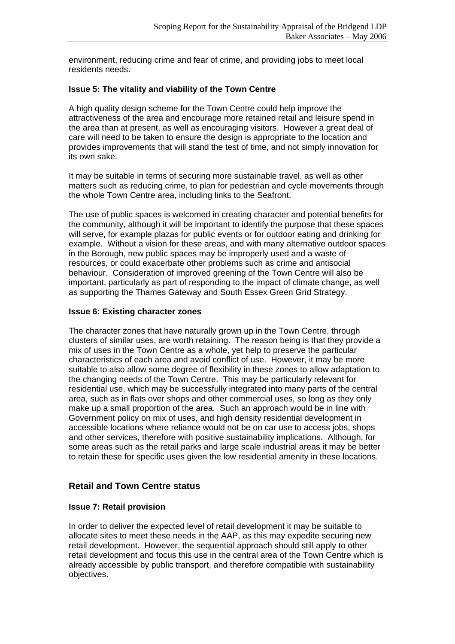environment, reducing crime and fear of crime, and providing jobs to meet local residents needs.

## **Issue 5: The vitality and viability of the Town Centre**

A high quality design scheme for the Town Centre could help improve the attractiveness of the area and encourage more retained retail and leisure spend in the area than at present, as well as encouraging visitors. However a great deal of care will need to be taken to ensure the design is appropriate to the location and provides improvements that will stand the test of time, and not simply innovation for its own sake.

It may be suitable in terms of securing more sustainable travel, as well as other matters such as reducing crime, to plan for pedestrian and cycle movements through the whole Town Centre area, including links to the Seafront.

The use of public spaces is welcomed in creating character and potential benefits for the community, although it will be important to identify the purpose that these spaces will serve, for example plazas for public events or for outdoor eating and drinking for example. Without a vision for these areas, and with many alternative outdoor spaces in the Borough, new public spaces may be improperly used and a waste of resources, or could exacerbate other problems such as crime and antisocial behaviour. Consideration of improved greening of the Town Centre will also be important, particularly as part of responding to the impact of climate change, as well as supporting the Thames Gateway and South Essex Green Grid Strategy.

## **Issue 6: Existing character zones**

The character zones that have naturally grown up in the Town Centre, through clusters of similar uses, are worth retaining. The reason being is that they provide a mix of uses in the Town Centre as a whole, yet help to preserve the particular characteristics of each area and avoid conflict of use. However, it may be more suitable to also allow some degree of flexibility in these zones to allow adaptation to the changing needs of the Town Centre. This may be particularly relevant for residential use, which may be successfully integrated into many parts of the central area, such as in flats over shops and other commercial uses, so long as they only make up a small proportion of the area. Such an approach would be in line with Government policy on mix of uses, and high density residential development in accessible locations where reliance would not be on car use to access jobs, shops and other services, therefore with positive sustainability implications. Although, for some areas such as the retail parks and large scale industrial areas it may be better to retain these for specific uses given the low residential amenity in these locations.

# **Retail and Town Centre status**

## **Issue 7: Retail provision**

In order to deliver the expected level of retail development it may be suitable to allocate sites to meet these needs in the AAP, as this may expedite securing new retail development. However, the sequential approach should still apply to other retail development and focus this use in the central area of the Town Centre which is already accessible by public transport, and therefore compatible with sustainability objectives.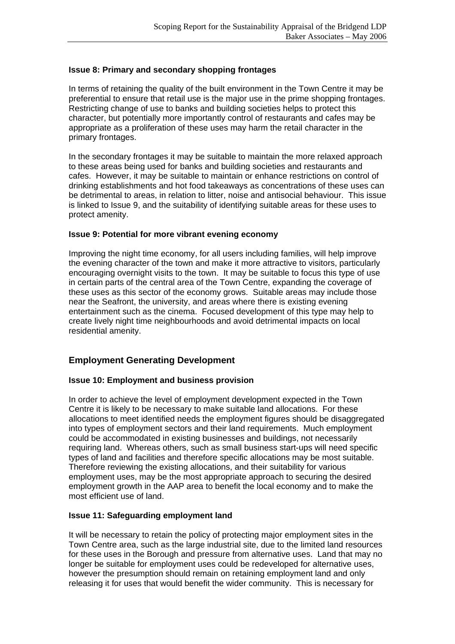## **Issue 8: Primary and secondary shopping frontages**

In terms of retaining the quality of the built environment in the Town Centre it may be preferential to ensure that retail use is the major use in the prime shopping frontages. Restricting change of use to banks and building societies helps to protect this character, but potentially more importantly control of restaurants and cafes may be appropriate as a proliferation of these uses may harm the retail character in the primary frontages.

In the secondary frontages it may be suitable to maintain the more relaxed approach to these areas being used for banks and building societies and restaurants and cafes. However, it may be suitable to maintain or enhance restrictions on control of drinking establishments and hot food takeaways as concentrations of these uses can be detrimental to areas, in relation to litter, noise and antisocial behaviour. This issue is linked to Issue 9, and the suitability of identifying suitable areas for these uses to protect amenity.

## **Issue 9: Potential for more vibrant evening economy**

Improving the night time economy, for all users including families, will help improve the evening character of the town and make it more attractive to visitors, particularly encouraging overnight visits to the town. It may be suitable to focus this type of use in certain parts of the central area of the Town Centre, expanding the coverage of these uses as this sector of the economy grows. Suitable areas may include those near the Seafront, the university, and areas where there is existing evening entertainment such as the cinema. Focused development of this type may help to create lively night time neighbourhoods and avoid detrimental impacts on local residential amenity.

# **Employment Generating Development**

## **Issue 10: Employment and business provision**

In order to achieve the level of employment development expected in the Town Centre it is likely to be necessary to make suitable land allocations. For these allocations to meet identified needs the employment figures should be disaggregated into types of employment sectors and their land requirements. Much employment could be accommodated in existing businesses and buildings, not necessarily requiring land. Whereas others, such as small business start-ups will need specific types of land and facilities and therefore specific allocations may be most suitable. Therefore reviewing the existing allocations, and their suitability for various employment uses, may be the most appropriate approach to securing the desired employment growth in the AAP area to benefit the local economy and to make the most efficient use of land.

## **Issue 11: Safeguarding employment land**

It will be necessary to retain the policy of protecting major employment sites in the Town Centre area, such as the large industrial site, due to the limited land resources for these uses in the Borough and pressure from alternative uses. Land that may no longer be suitable for employment uses could be redeveloped for alternative uses, however the presumption should remain on retaining employment land and only releasing it for uses that would benefit the wider community. This is necessary for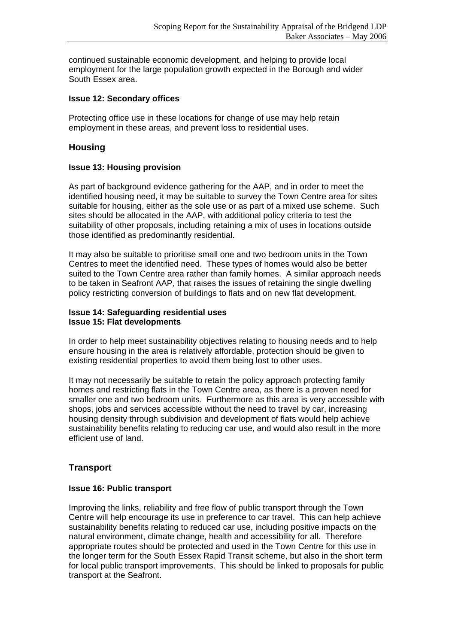continued sustainable economic development, and helping to provide local employment for the large population growth expected in the Borough and wider South Essex area.

## **Issue 12: Secondary offices**

Protecting office use in these locations for change of use may help retain employment in these areas, and prevent loss to residential uses.

# **Housing**

## **Issue 13: Housing provision**

As part of background evidence gathering for the AAP, and in order to meet the identified housing need, it may be suitable to survey the Town Centre area for sites suitable for housing, either as the sole use or as part of a mixed use scheme. Such sites should be allocated in the AAP, with additional policy criteria to test the suitability of other proposals, including retaining a mix of uses in locations outside those identified as predominantly residential.

It may also be suitable to prioritise small one and two bedroom units in the Town Centres to meet the identified need. These types of homes would also be better suited to the Town Centre area rather than family homes. A similar approach needs to be taken in Seafront AAP, that raises the issues of retaining the single dwelling policy restricting conversion of buildings to flats and on new flat development.

#### **Issue 14: Safeguarding residential uses Issue 15: Flat developments**

In order to help meet sustainability objectives relating to housing needs and to help ensure housing in the area is relatively affordable, protection should be given to existing residential properties to avoid them being lost to other uses.

It may not necessarily be suitable to retain the policy approach protecting family homes and restricting flats in the Town Centre area, as there is a proven need for smaller one and two bedroom units. Furthermore as this area is very accessible with shops, jobs and services accessible without the need to travel by car, increasing housing density through subdivision and development of flats would help achieve sustainability benefits relating to reducing car use, and would also result in the more efficient use of land.

# **Transport**

#### **Issue 16: Public transport**

Improving the links, reliability and free flow of public transport through the Town Centre will help encourage its use in preference to car travel. This can help achieve sustainability benefits relating to reduced car use, including positive impacts on the natural environment, climate change, health and accessibility for all. Therefore appropriate routes should be protected and used in the Town Centre for this use in the longer term for the South Essex Rapid Transit scheme, but also in the short term for local public transport improvements. This should be linked to proposals for public transport at the Seafront.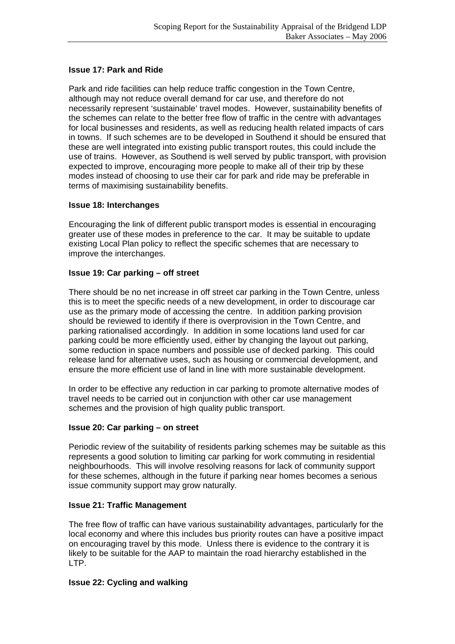## **Issue 17: Park and Ride**

Park and ride facilities can help reduce traffic congestion in the Town Centre, although may not reduce overall demand for car use, and therefore do not necessarily represent 'sustainable' travel modes. However, sustainability benefits of the schemes can relate to the better free flow of traffic in the centre with advantages for local businesses and residents, as well as reducing health related impacts of cars in towns. If such schemes are to be developed in Southend it should be ensured that these are well integrated into existing public transport routes, this could include the use of trains. However, as Southend is well served by public transport, with provision expected to improve, encouraging more people to make all of their trip by these modes instead of choosing to use their car for park and ride may be preferable in terms of maximising sustainability benefits.

## **Issue 18: Interchanges**

Encouraging the link of different public transport modes is essential in encouraging greater use of these modes in preference to the car. It may be suitable to update existing Local Plan policy to reflect the specific schemes that are necessary to improve the interchanges.

## **Issue 19: Car parking – off street**

There should be no net increase in off street car parking in the Town Centre, unless this is to meet the specific needs of a new development, in order to discourage car use as the primary mode of accessing the centre. In addition parking provision should be reviewed to identify if there is overprovision in the Town Centre, and parking rationalised accordingly. In addition in some locations land used for car parking could be more efficiently used, either by changing the layout out parking, some reduction in space numbers and possible use of decked parking. This could release land for alternative uses, such as housing or commercial development, and ensure the more efficient use of land in line with more sustainable development.

In order to be effective any reduction in car parking to promote alternative modes of travel needs to be carried out in conjunction with other car use management schemes and the provision of high quality public transport.

## **Issue 20: Car parking – on street**

Periodic review of the suitability of residents parking schemes may be suitable as this represents a good solution to limiting car parking for work commuting in residential neighbourhoods. This will involve resolving reasons for lack of community support for these schemes, although in the future if parking near homes becomes a serious issue community support may grow naturally.

## **Issue 21: Traffic Management**

The free flow of traffic can have various sustainability advantages, particularly for the local economy and where this includes bus priority routes can have a positive impact on encouraging travel by this mode. Unless there is evidence to the contrary it is likely to be suitable for the AAP to maintain the road hierarchy established in the LTP.

## **Issue 22: Cycling and walking**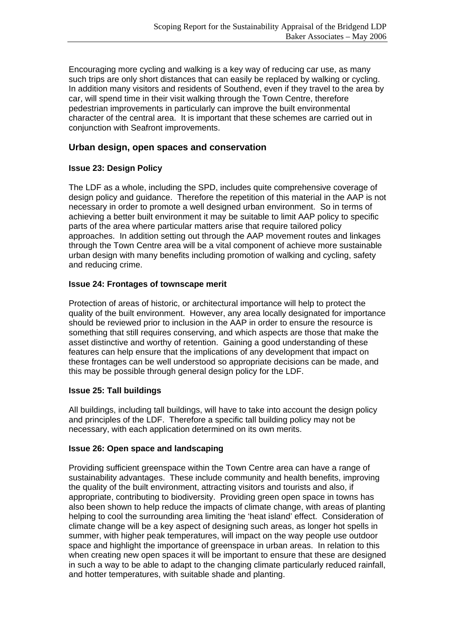Encouraging more cycling and walking is a key way of reducing car use, as many such trips are only short distances that can easily be replaced by walking or cycling. In addition many visitors and residents of Southend, even if they travel to the area by car, will spend time in their visit walking through the Town Centre, therefore pedestrian improvements in particularly can improve the built environmental character of the central area. It is important that these schemes are carried out in conjunction with Seafront improvements.

# **Urban design, open spaces and conservation**

# **Issue 23: Design Policy**

The LDF as a whole, including the SPD, includes quite comprehensive coverage of design policy and guidance. Therefore the repetition of this material in the AAP is not necessary in order to promote a well designed urban environment. So in terms of achieving a better built environment it may be suitable to limit AAP policy to specific parts of the area where particular matters arise that require tailored policy approaches. In addition setting out through the AAP movement routes and linkages through the Town Centre area will be a vital component of achieve more sustainable urban design with many benefits including promotion of walking and cycling, safety and reducing crime.

## **Issue 24: Frontages of townscape merit**

Protection of areas of historic, or architectural importance will help to protect the quality of the built environment. However, any area locally designated for importance should be reviewed prior to inclusion in the AAP in order to ensure the resource is something that still requires conserving, and which aspects are those that make the asset distinctive and worthy of retention. Gaining a good understanding of these features can help ensure that the implications of any development that impact on these frontages can be well understood so appropriate decisions can be made, and this may be possible through general design policy for the LDF.

## **Issue 25: Tall buildings**

All buildings, including tall buildings, will have to take into account the design policy and principles of the LDF. Therefore a specific tall building policy may not be necessary, with each application determined on its own merits.

# **Issue 26: Open space and landscaping**

Providing sufficient greenspace within the Town Centre area can have a range of sustainability advantages. These include community and health benefits, improving the quality of the built environment, attracting visitors and tourists and also, if appropriate, contributing to biodiversity. Providing green open space in towns has also been shown to help reduce the impacts of climate change, with areas of planting helping to cool the surrounding area limiting the 'heat island' effect. Consideration of climate change will be a key aspect of designing such areas, as longer hot spells in summer, with higher peak temperatures, will impact on the way people use outdoor space and highlight the importance of greenspace in urban areas. In relation to this when creating new open spaces it will be important to ensure that these are designed in such a way to be able to adapt to the changing climate particularly reduced rainfall, and hotter temperatures, with suitable shade and planting.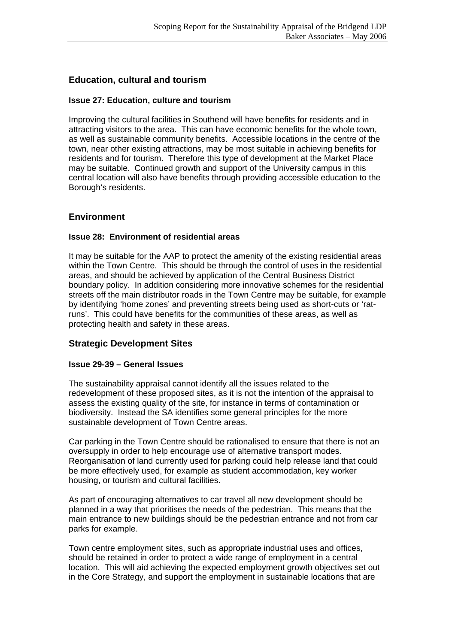## **Education, cultural and tourism**

#### **Issue 27: Education, culture and tourism**

Improving the cultural facilities in Southend will have benefits for residents and in attracting visitors to the area. This can have economic benefits for the whole town, as well as sustainable community benefits. Accessible locations in the centre of the town, near other existing attractions, may be most suitable in achieving benefits for residents and for tourism. Therefore this type of development at the Market Place may be suitable. Continued growth and support of the University campus in this central location will also have benefits through providing accessible education to the Borough's residents.

## **Environment**

#### **Issue 28: Environment of residential areas**

It may be suitable for the AAP to protect the amenity of the existing residential areas within the Town Centre. This should be through the control of uses in the residential areas, and should be achieved by application of the Central Business District boundary policy. In addition considering more innovative schemes for the residential streets off the main distributor roads in the Town Centre may be suitable, for example by identifying 'home zones' and preventing streets being used as short-cuts or 'ratruns'. This could have benefits for the communities of these areas, as well as protecting health and safety in these areas.

## **Strategic Development Sites**

#### **Issue 29-39 – General Issues**

The sustainability appraisal cannot identify all the issues related to the redevelopment of these proposed sites, as it is not the intention of the appraisal to assess the existing quality of the site, for instance in terms of contamination or biodiversity. Instead the SA identifies some general principles for the more sustainable development of Town Centre areas.

Car parking in the Town Centre should be rationalised to ensure that there is not an oversupply in order to help encourage use of alternative transport modes. Reorganisation of land currently used for parking could help release land that could be more effectively used, for example as student accommodation, key worker housing, or tourism and cultural facilities.

As part of encouraging alternatives to car travel all new development should be planned in a way that prioritises the needs of the pedestrian. This means that the main entrance to new buildings should be the pedestrian entrance and not from car parks for example.

Town centre employment sites, such as appropriate industrial uses and offices, should be retained in order to protect a wide range of employment in a central location. This will aid achieving the expected employment growth objectives set out in the Core Strategy, and support the employment in sustainable locations that are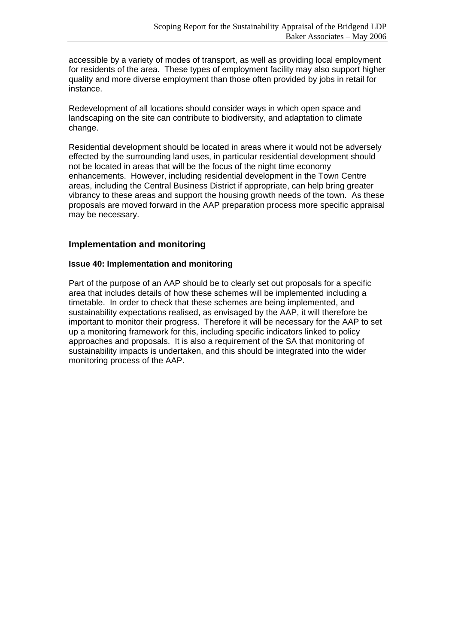accessible by a variety of modes of transport, as well as providing local employment for residents of the area. These types of employment facility may also support higher quality and more diverse employment than those often provided by jobs in retail for instance.

Redevelopment of all locations should consider ways in which open space and landscaping on the site can contribute to biodiversity, and adaptation to climate change.

Residential development should be located in areas where it would not be adversely effected by the surrounding land uses, in particular residential development should not be located in areas that will be the focus of the night time economy enhancements. However, including residential development in the Town Centre areas, including the Central Business District if appropriate, can help bring greater vibrancy to these areas and support the housing growth needs of the town. As these proposals are moved forward in the AAP preparation process more specific appraisal may be necessary.

# **Implementation and monitoring**

## **Issue 40: Implementation and monitoring**

Part of the purpose of an AAP should be to clearly set out proposals for a specific area that includes details of how these schemes will be implemented including a timetable. In order to check that these schemes are being implemented, and sustainability expectations realised, as envisaged by the AAP, it will therefore be important to monitor their progress. Therefore it will be necessary for the AAP to set up a monitoring framework for this, including specific indicators linked to policy approaches and proposals. It is also a requirement of the SA that monitoring of sustainability impacts is undertaken, and this should be integrated into the wider monitoring process of the AAP.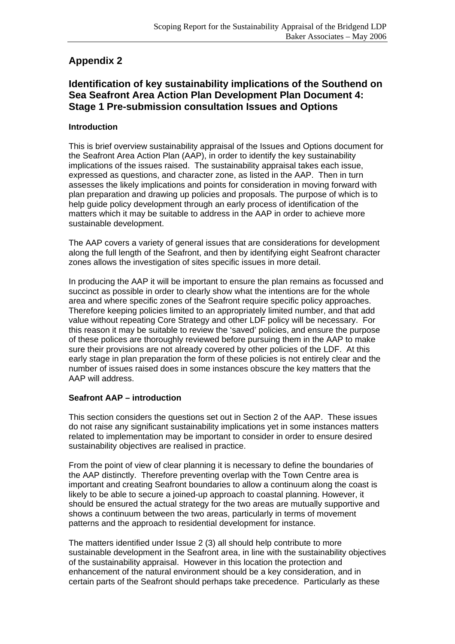# **Appendix 2**

# **Identification of key sustainability implications of the Southend on Sea Seafront Area Action Plan Development Plan Document 4: Stage 1 Pre-submission consultation Issues and Options**

## **Introduction**

This is brief overview sustainability appraisal of the Issues and Options document for the Seafront Area Action Plan (AAP), in order to identify the key sustainability implications of the issues raised. The sustainability appraisal takes each issue, expressed as questions, and character zone, as listed in the AAP. Then in turn assesses the likely implications and points for consideration in moving forward with plan preparation and drawing up policies and proposals. The purpose of which is to help guide policy development through an early process of identification of the matters which it may be suitable to address in the AAP in order to achieve more sustainable development.

The AAP covers a variety of general issues that are considerations for development along the full length of the Seafront, and then by identifying eight Seafront character zones allows the investigation of sites specific issues in more detail.

In producing the AAP it will be important to ensure the plan remains as focussed and succinct as possible in order to clearly show what the intentions are for the whole area and where specific zones of the Seafront require specific policy approaches. Therefore keeping policies limited to an appropriately limited number, and that add value without repeating Core Strategy and other LDF policy will be necessary. For this reason it may be suitable to review the 'saved' policies, and ensure the purpose of these polices are thoroughly reviewed before pursuing them in the AAP to make sure their provisions are not already covered by other policies of the LDF. At this early stage in plan preparation the form of these policies is not entirely clear and the number of issues raised does in some instances obscure the key matters that the AAP will address.

# **Seafront AAP – introduction**

This section considers the questions set out in Section 2 of the AAP. These issues do not raise any significant sustainability implications yet in some instances matters related to implementation may be important to consider in order to ensure desired sustainability objectives are realised in practice.

From the point of view of clear planning it is necessary to define the boundaries of the AAP distinctly. Therefore preventing overlap with the Town Centre area is important and creating Seafront boundaries to allow a continuum along the coast is likely to be able to secure a joined-up approach to coastal planning. However, it should be ensured the actual strategy for the two areas are mutually supportive and shows a continuum between the two areas, particularly in terms of movement patterns and the approach to residential development for instance.

The matters identified under Issue 2 (3) all should help contribute to more sustainable development in the Seafront area, in line with the sustainability objectives of the sustainability appraisal. However in this location the protection and enhancement of the natural environment should be a key consideration, and in certain parts of the Seafront should perhaps take precedence. Particularly as these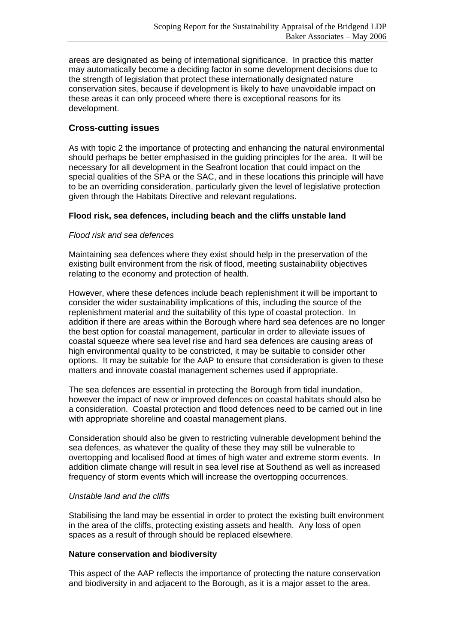areas are designated as being of international significance. In practice this matter may automatically become a deciding factor in some development decisions due to the strength of legislation that protect these internationally designated nature conservation sites, because if development is likely to have unavoidable impact on these areas it can only proceed where there is exceptional reasons for its development.

# **Cross-cutting issues**

As with topic 2 the importance of protecting and enhancing the natural environmental should perhaps be better emphasised in the guiding principles for the area. It will be necessary for all development in the Seafront location that could impact on the special qualities of the SPA or the SAC, and in these locations this principle will have to be an overriding consideration, particularly given the level of legislative protection given through the Habitats Directive and relevant regulations.

## **Flood risk, sea defences, including beach and the cliffs unstable land**

## *Flood risk and sea defences*

Maintaining sea defences where they exist should help in the preservation of the existing built environment from the risk of flood, meeting sustainability objectives relating to the economy and protection of health.

However, where these defences include beach replenishment it will be important to consider the wider sustainability implications of this, including the source of the replenishment material and the suitability of this type of coastal protection. In addition if there are areas within the Borough where hard sea defences are no longer the best option for coastal management, particular in order to alleviate issues of coastal squeeze where sea level rise and hard sea defences are causing areas of high environmental quality to be constricted, it may be suitable to consider other options. It may be suitable for the AAP to ensure that consideration is given to these matters and innovate coastal management schemes used if appropriate.

The sea defences are essential in protecting the Borough from tidal inundation, however the impact of new or improved defences on coastal habitats should also be a consideration. Coastal protection and flood defences need to be carried out in line with appropriate shoreline and coastal management plans.

Consideration should also be given to restricting vulnerable development behind the sea defences, as whatever the quality of these they may still be vulnerable to overtopping and localised flood at times of high water and extreme storm events. In addition climate change will result in sea level rise at Southend as well as increased frequency of storm events which will increase the overtopping occurrences.

## *Unstable land and the cliffs*

Stabilising the land may be essential in order to protect the existing built environment in the area of the cliffs, protecting existing assets and health. Any loss of open spaces as a result of through should be replaced elsewhere.

## **Nature conservation and biodiversity**

This aspect of the AAP reflects the importance of protecting the nature conservation and biodiversity in and adjacent to the Borough, as it is a major asset to the area.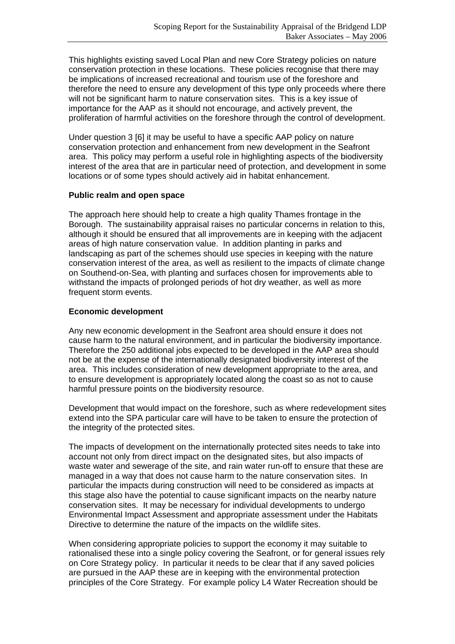This highlights existing saved Local Plan and new Core Strategy policies on nature conservation protection in these locations. These policies recognise that there may be implications of increased recreational and tourism use of the foreshore and therefore the need to ensure any development of this type only proceeds where there will not be significant harm to nature conservation sites. This is a key issue of importance for the AAP as it should not encourage, and actively prevent, the proliferation of harmful activities on the foreshore through the control of development.

Under question 3 [6] it may be useful to have a specific AAP policy on nature conservation protection and enhancement from new development in the Seafront area. This policy may perform a useful role in highlighting aspects of the biodiversity interest of the area that are in particular need of protection, and development in some locations or of some types should actively aid in habitat enhancement.

#### **Public realm and open space**

The approach here should help to create a high quality Thames frontage in the Borough. The sustainability appraisal raises no particular concerns in relation to this, although it should be ensured that all improvements are in keeping with the adjacent areas of high nature conservation value. In addition planting in parks and landscaping as part of the schemes should use species in keeping with the nature conservation interest of the area, as well as resilient to the impacts of climate change on Southend-on-Sea, with planting and surfaces chosen for improvements able to withstand the impacts of prolonged periods of hot dry weather, as well as more frequent storm events.

## **Economic development**

Any new economic development in the Seafront area should ensure it does not cause harm to the natural environment, and in particular the biodiversity importance. Therefore the 250 additional jobs expected to be developed in the AAP area should not be at the expense of the internationally designated biodiversity interest of the area. This includes consideration of new development appropriate to the area, and to ensure development is appropriately located along the coast so as not to cause harmful pressure points on the biodiversity resource.

Development that would impact on the foreshore, such as where redevelopment sites extend into the SPA particular care will have to be taken to ensure the protection of the integrity of the protected sites.

The impacts of development on the internationally protected sites needs to take into account not only from direct impact on the designated sites, but also impacts of waste water and sewerage of the site, and rain water run-off to ensure that these are managed in a way that does not cause harm to the nature conservation sites. In particular the impacts during construction will need to be considered as impacts at this stage also have the potential to cause significant impacts on the nearby nature conservation sites. It may be necessary for individual developments to undergo Environmental Impact Assessment and appropriate assessment under the Habitats Directive to determine the nature of the impacts on the wildlife sites.

When considering appropriate policies to support the economy it may suitable to rationalised these into a single policy covering the Seafront, or for general issues rely on Core Strategy policy. In particular it needs to be clear that if any saved policies are pursued in the AAP these are in keeping with the environmental protection principles of the Core Strategy. For example policy L4 Water Recreation should be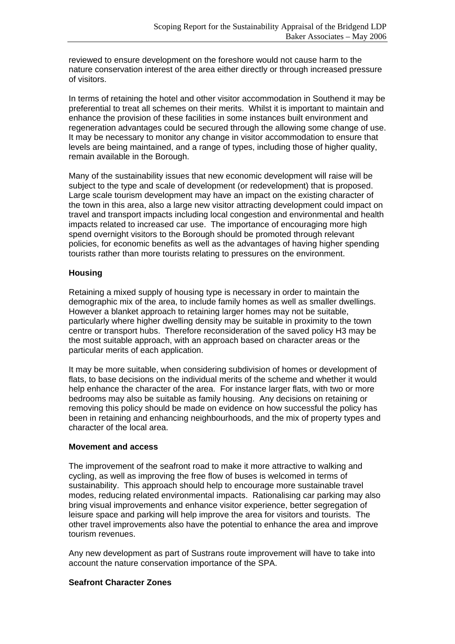reviewed to ensure development on the foreshore would not cause harm to the nature conservation interest of the area either directly or through increased pressure of visitors.

In terms of retaining the hotel and other visitor accommodation in Southend it may be preferential to treat all schemes on their merits. Whilst it is important to maintain and enhance the provision of these facilities in some instances built environment and regeneration advantages could be secured through the allowing some change of use. It may be necessary to monitor any change in visitor accommodation to ensure that levels are being maintained, and a range of types, including those of higher quality, remain available in the Borough.

Many of the sustainability issues that new economic development will raise will be subject to the type and scale of development (or redevelopment) that is proposed. Large scale tourism development may have an impact on the existing character of the town in this area, also a large new visitor attracting development could impact on travel and transport impacts including local congestion and environmental and health impacts related to increased car use. The importance of encouraging more high spend overnight visitors to the Borough should be promoted through relevant policies, for economic benefits as well as the advantages of having higher spending tourists rather than more tourists relating to pressures on the environment.

## **Housing**

Retaining a mixed supply of housing type is necessary in order to maintain the demographic mix of the area, to include family homes as well as smaller dwellings. However a blanket approach to retaining larger homes may not be suitable, particularly where higher dwelling density may be suitable in proximity to the town centre or transport hubs. Therefore reconsideration of the saved policy H3 may be the most suitable approach, with an approach based on character areas or the particular merits of each application.

It may be more suitable, when considering subdivision of homes or development of flats, to base decisions on the individual merits of the scheme and whether it would help enhance the character of the area. For instance larger flats, with two or more bedrooms may also be suitable as family housing. Any decisions on retaining or removing this policy should be made on evidence on how successful the policy has been in retaining and enhancing neighbourhoods, and the mix of property types and character of the local area.

## **Movement and access**

The improvement of the seafront road to make it more attractive to walking and cycling, as well as improving the free flow of buses is welcomed in terms of sustainability. This approach should help to encourage more sustainable travel modes, reducing related environmental impacts. Rationalising car parking may also bring visual improvements and enhance visitor experience, better segregation of leisure space and parking will help improve the area for visitors and tourists. The other travel improvements also have the potential to enhance the area and improve tourism revenues.

Any new development as part of Sustrans route improvement will have to take into account the nature conservation importance of the SPA.

## **Seafront Character Zones**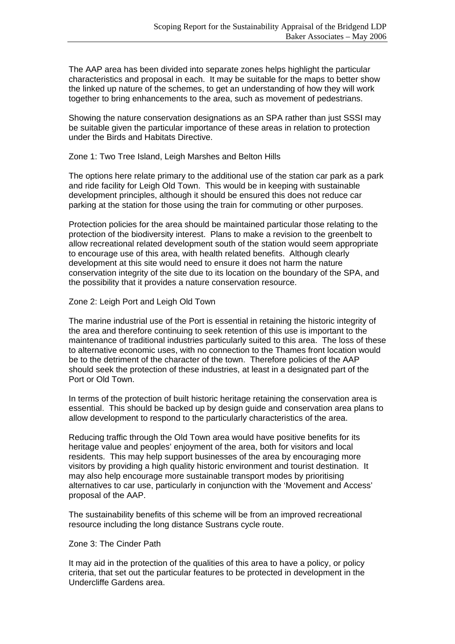The AAP area has been divided into separate zones helps highlight the particular characteristics and proposal in each. It may be suitable for the maps to better show the linked up nature of the schemes, to get an understanding of how they will work together to bring enhancements to the area, such as movement of pedestrians.

Showing the nature conservation designations as an SPA rather than just SSSI may be suitable given the particular importance of these areas in relation to protection under the Birds and Habitats Directive.

Zone 1: Two Tree Island, Leigh Marshes and Belton Hills

The options here relate primary to the additional use of the station car park as a park and ride facility for Leigh Old Town. This would be in keeping with sustainable development principles, although it should be ensured this does not reduce car parking at the station for those using the train for commuting or other purposes.

Protection policies for the area should be maintained particular those relating to the protection of the biodiversity interest. Plans to make a revision to the greenbelt to allow recreational related development south of the station would seem appropriate to encourage use of this area, with health related benefits. Although clearly development at this site would need to ensure it does not harm the nature conservation integrity of the site due to its location on the boundary of the SPA, and the possibility that it provides a nature conservation resource.

#### Zone 2: Leigh Port and Leigh Old Town

The marine industrial use of the Port is essential in retaining the historic integrity of the area and therefore continuing to seek retention of this use is important to the maintenance of traditional industries particularly suited to this area. The loss of these to alternative economic uses, with no connection to the Thames front location would be to the detriment of the character of the town. Therefore policies of the AAP should seek the protection of these industries, at least in a designated part of the Port or Old Town.

In terms of the protection of built historic heritage retaining the conservation area is essential. This should be backed up by design guide and conservation area plans to allow development to respond to the particularly characteristics of the area.

Reducing traffic through the Old Town area would have positive benefits for its heritage value and peoples' enjoyment of the area, both for visitors and local residents. This may help support businesses of the area by encouraging more visitors by providing a high quality historic environment and tourist destination. It may also help encourage more sustainable transport modes by prioritising alternatives to car use, particularly in conjunction with the 'Movement and Access' proposal of the AAP.

The sustainability benefits of this scheme will be from an improved recreational resource including the long distance Sustrans cycle route.

#### Zone 3: The Cinder Path

It may aid in the protection of the qualities of this area to have a policy, or policy criteria, that set out the particular features to be protected in development in the Undercliffe Gardens area.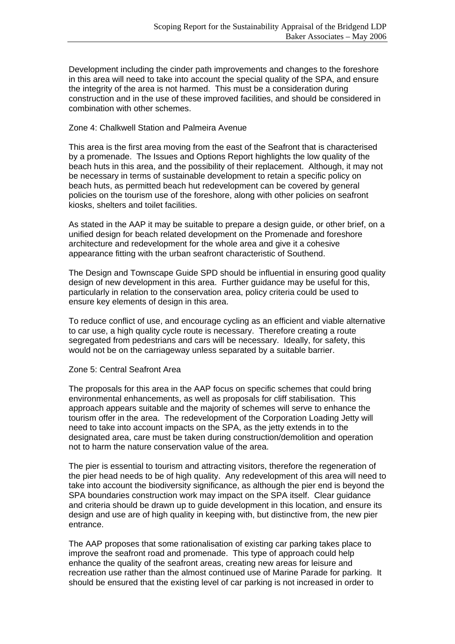Development including the cinder path improvements and changes to the foreshore in this area will need to take into account the special quality of the SPA, and ensure the integrity of the area is not harmed. This must be a consideration during construction and in the use of these improved facilities, and should be considered in combination with other schemes.

#### Zone 4: Chalkwell Station and Palmeira Avenue

This area is the first area moving from the east of the Seafront that is characterised by a promenade. The Issues and Options Report highlights the low quality of the beach huts in this area, and the possibility of their replacement. Although, it may not be necessary in terms of sustainable development to retain a specific policy on beach huts, as permitted beach hut redevelopment can be covered by general policies on the tourism use of the foreshore, along with other policies on seafront kiosks, shelters and toilet facilities.

As stated in the AAP it may be suitable to prepare a design guide, or other brief, on a unified design for beach related development on the Promenade and foreshore architecture and redevelopment for the whole area and give it a cohesive appearance fitting with the urban seafront characteristic of Southend.

The Design and Townscape Guide SPD should be influential in ensuring good quality design of new development in this area. Further guidance may be useful for this, particularly in relation to the conservation area, policy criteria could be used to ensure key elements of design in this area.

To reduce conflict of use, and encourage cycling as an efficient and viable alternative to car use, a high quality cycle route is necessary. Therefore creating a route segregated from pedestrians and cars will be necessary. Ideally, for safety, this would not be on the carriageway unless separated by a suitable barrier.

#### Zone 5: Central Seafront Area

The proposals for this area in the AAP focus on specific schemes that could bring environmental enhancements, as well as proposals for cliff stabilisation. This approach appears suitable and the majority of schemes will serve to enhance the tourism offer in the area. The redevelopment of the Corporation Loading Jetty will need to take into account impacts on the SPA, as the jetty extends in to the designated area, care must be taken during construction/demolition and operation not to harm the nature conservation value of the area.

The pier is essential to tourism and attracting visitors, therefore the regeneration of the pier head needs to be of high quality. Any redevelopment of this area will need to take into account the biodiversity significance, as although the pier end is beyond the SPA boundaries construction work may impact on the SPA itself. Clear guidance and criteria should be drawn up to guide development in this location, and ensure its design and use are of high quality in keeping with, but distinctive from, the new pier entrance.

The AAP proposes that some rationalisation of existing car parking takes place to improve the seafront road and promenade. This type of approach could help enhance the quality of the seafront areas, creating new areas for leisure and recreation use rather than the almost continued use of Marine Parade for parking. It should be ensured that the existing level of car parking is not increased in order to